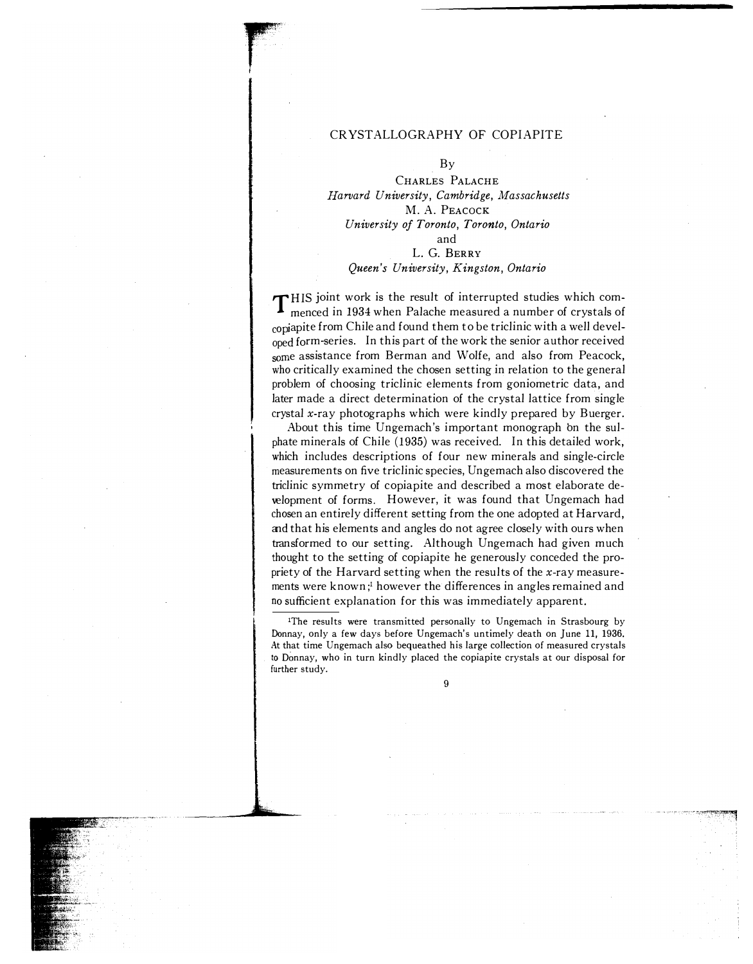#### CRYSTALLO GRAPHY OF COPIAPITE

 $\mathbf{u}$  , and  $\mathbf{v}$  , and  $\mathbf{v}$ 

· ·······

#### By

CHARLES PALACHE Harvard University, Cambridge, Massachusetts M. A. PEACOCK University of Toronto, Toronto, Ontario and L. G. BERRY Queen's University, Kingston, Ontario

THIS joint work is the result of interrupted studies which com-<br>monced in 1934 when Palache measured a number of crystals of menced in 1934 when Palache measured a number of crystals of copiapite from Chile and found them to be triclinic with a well developed form-series. In this part of the work the senior author received some assistance from Berman and Wolfe, and also from Peacock, who critically examined the chosen setting in relation to the general problem of choosing triclinic elements from goniometric data, and later made a direct determination of the crystal lattice from single crystal x-ray photographs which were kindly prepared by Buerger.

About this time Ungemach's important monograph bn the sulphate minerals of Chile (1935) was received. In this detailed work, which includes descriptions of four new minerals and single-circle measurements on five triclinic species, Ungemach also discovered the triclinic symmetry of copiapite and described a most elaborate development of forms. However, it was found that Ungemach had chosen an entirely different setting from the one adopted at Harvard, and that his elements and angles do not agree closely with ours when transformed to our setting. Although Ungemach had given much thought to the setting of copiapite he generously conceded the propriety of the Harvard setting when the results of the x-ray measurements were known;<sup>1</sup> however the differences in angles remained and no sufficient explanation for this was immediately apparent.

<sup>1</sup>The results were transmitted personally to Ungemach in Strasbourg by Donnay, only a few days before Ungemach's untimely death on June 11, 1936. At that time Ungemach also bequeathed his large collection of measured crystals to Donnay, who in turn kindly placed the copiapite crystals at our disposal for further study.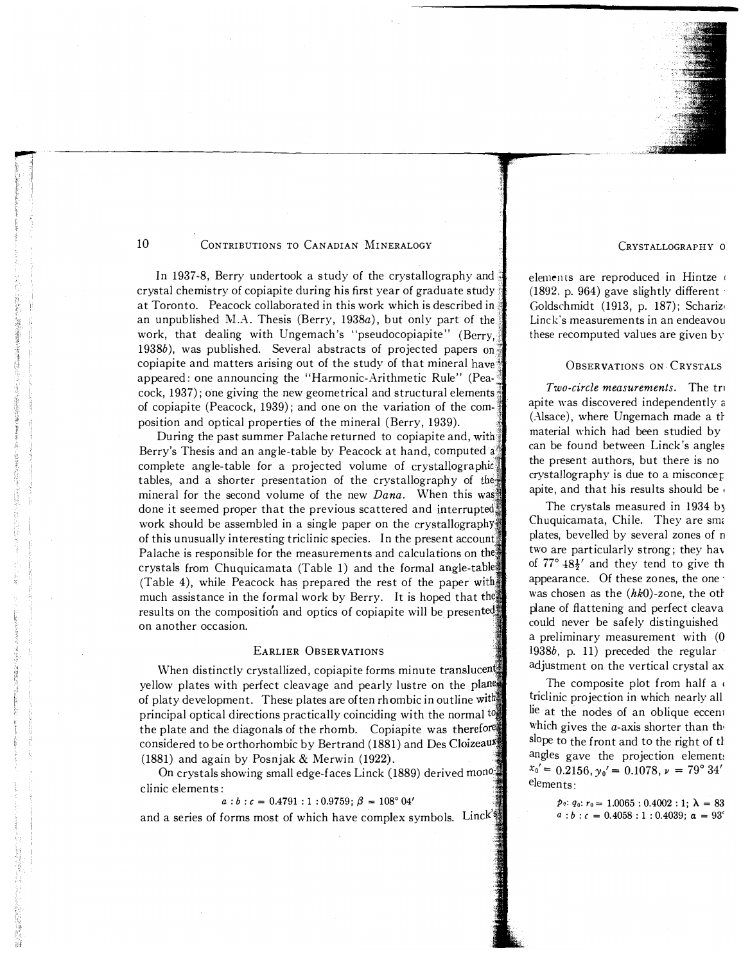

In 1937-8, Berry undertook a study of the crystallography and crystal chemistry of copiapite during his first year of graduate study, : at Toronto. Peacock collaborated in this work which is described in : an unpublished M.A. Thesis (Berry,  $1938a$ ), but only part of the work, that dealing with Ungemach's "pseudocopiapite" (Berry, : ! 1938 $b$ ), was published. Several abstracts of projected papers on copiapite and matters arising out of the study of that mineral have appeared: one announcing the "Harmonic-Arithmetic Rule" (Pea- : cock, 1937); one giving the new geometrical and structural elements ", of copiapite (Peacock, 1939); and one on the variation of the composition and optical properties of the mineral (Berry, 1939).

During the past summer Palache returned to copiapite and, with. Berry's Thesis and an angle-table by Peacock at hand, computed a complete angle-table for a projected volume of tables, and a shorter presentation of the crystallography of mineral for the second volume of the new  $Dana$ . When this was done it seemed proper that the previous scattered and interrupted work should be assembled in a single paper on the crystallography of this unusually interesting triclinic species. In the present account Palache is responsible for the measurements and calculations on the crystals from Chuquicamata (Table 1) and the formal angle-table (Table 4), while Peacock has prepared the rest of the paper much assistance in the formal work by Berry. It is hoped that the results on the composition and optics of copiapite will be presented on another occasion.

#### EARLIER OBSERVATIONS

When distinctly crystallized, copiapite forms minute translucent yellow plates with perfect cleavage and pearly lustre on the plane of platy development. These plates are often rhombic in outline with principal optical directions practically coinciding with the normal the plate and the diagonals of the rhomb. Copiapite was therefore considered to be orthorhombic by Bertrand (1881) and Des CloizeauX (1881) and again by Posnjak & Merwin (1922).

On crystals showing small edge-faces Linck (1889) derived mono clinic elements:

#### $a:b:c = 0.4791:1:0.9759; \beta = 108^{\circ} 04'$

and a series of forms most of which have complex symbols. Linck's

CRYSTALLOGRAPHY <sup>0</sup>

elements are reproduced in Hintze (1892, p. 964) gave slightly different  $\cdot$ Goldschmidt (1913, p. 187); Schariz, Linck's measurements in an endeavou these recomputed values are given by

#### OBSERVATIONS ON CRYSTALS

Two-circle measurements. The tru apite was discovered independently a (Alsace), where Ungemach made a th material which had been studied by can be found between Linck's angles the present authors, but there is no crystaIIography is due to a misconcer: apite, and that his results should be

The crystals measured in 1934 b) Chuquicamata, Chile. They are sma plates, bevelled by several zones of <sup>n</sup> two are particularly strong; they hav of  $77^{\circ}$   $48\frac{1}{2}$  and they tend to give the appearance. Of these zones, the one' was chosen as the  $(hk0)$ -zone, the oth plane of flattening and perfect cleava could never be safely distinguished a preliminary measurement with (0 1938b, p. 11) preceded the regular adjustment on the vertical crystal ax

The composite plot from half a triclinic projection in which nearly all lie at the nodes of an oblique eccent which gives the *a*-axis shorter than the slope to the front and to the right of th angles gave the projection elements  $x_0' = 0.2156$ ,  $y_0' = 0.1078$ ,  $\nu = 79^\circ 34'$ elements:

> $p_0$ :  $q_0$ :  $r_0 = 1.0065$ : 0.4002: 1;  $\lambda = 83$  $a:b:c = 0.4058:1:0.4039; \alpha = 93^c$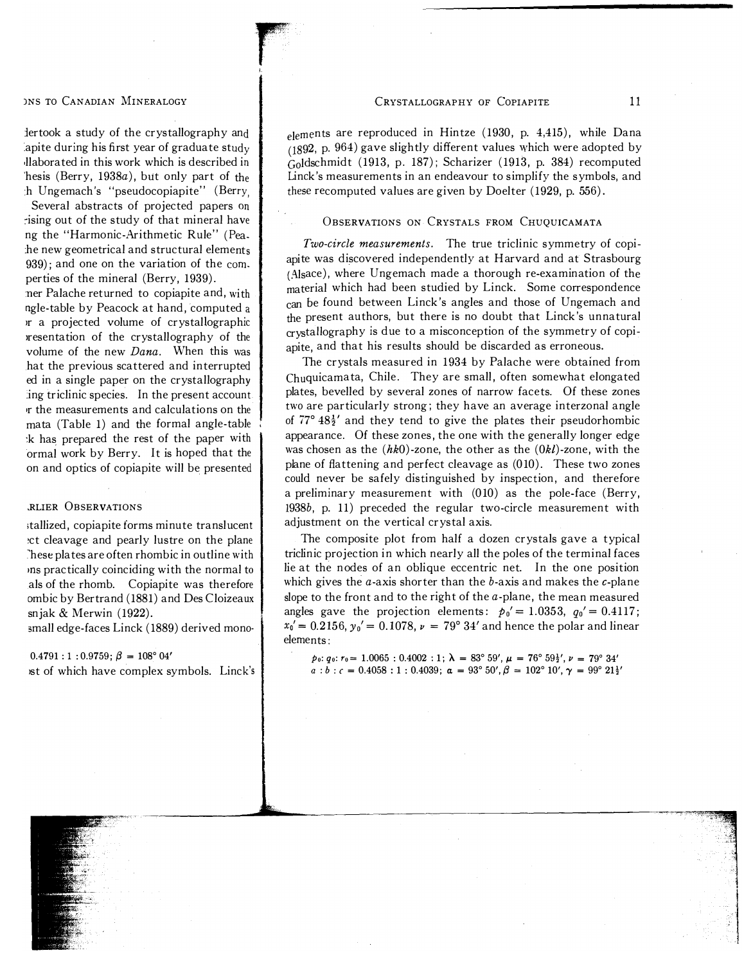#### )NS TO CANADIAN MINERALOGY

:lertook a study of the crystallography and apite during his first year of graduate study ,llaborated in this work which is described in 'hesis (Berry, 1938a), but only part of the h Ungemach's "pseudocopiapite" (Berry,

r

,

Several abstracts of projected papers on �ising out of the study of that mineral have ng the "Harmonic-Arithmetic Rule" (Pea :he new geometrical and structural elements  $939$ ; and one on the variation of the com. perties of the mineral (Berry, 1939) .

:ner Palache returned to copiapite and, with ngle-table by Peacock at hand, computed <sup>a</sup> )r a projected volume of crystallographic )resentation of the crystallography of the volume of the new Dana. When this was hat the previous scattered and interrupted ed in a single paper on the crystallography :ing triclinic species. In the present account .r the measurements and calculations on the mata (Table 1) and the formal angle-table :k has prepared the rest of the paper with ormal work by Berry. It is hoped that the on and optics of copiapite will be presented

#### .RLIER OBSERVATIONS

;tallized, copiapite forms minute translucent �ct cleavage and pearly lustre on the plane hese plates are often rhombic in outline with ins practically coinciding with the normal to als of the rhomb. Copiapite was therefore ombic by Bertrand (1881) and Des Cloizeaux snjak & Merwin (1922).

small edge-faces Linck (1889) derived mono-

# $0.4791 : 1 : 0.9759$ ;  $\beta = 108^{\circ} 04'$

)st of which have complex symbols. Linck's

elements are reproduced in Hintze (1930, p. 4,415), while Dana (1892, p. 964) gave slightly different values which were adopted by  $\hat{G}$ oldschmidt (1913, p. 187); Scharizer (1913, p. 384) recomputed Linck's measurements in an endeavour to simplify the symbols, and these recomputed values are given by Doelter  $(1929, p. 556)$ .

#### OBSERVATIONS ON CRYSTALS FROM CHUQUICAMATA

Two-circle measurements. The true triclinic symmetry of copiapite was discovered independently at Harvard and at Strasbourg (Alsace), where Ungemach made a thorough re-examination of the material which had been studied by Linck. Some correspondence can be found between Linck's angles and those of Ungemach and the present authors, but there is no doubt that Linck's unnatural crysta!Iography is due to a misconception of the symmetry of copiapite, and that his results should be discarded as erroneous.

The crystals measured in 1934 by Palache were obtained from Chuquicamata, Chile. They are small, often somewhat elongated plates, bevelled by several zones of narrow facets. Of these zones two are particularly strong; they have an average interzonal angle of  $77^{\circ}$  48 $\frac{1}{2}$  and they tend to give the plates their pseudorhombic appearance. Of these zones, the one with the generally longer edge was chosen as the  $(hk0)$ -zone, the other as the  $(0kl)$ -zone, with the plane of flattening and perfect cleavage as (010). These two zones could never be safely distinguished by inspection, and therefore a preliminary measurement with (010) as the pole-face (Berry, 1938b, p. 11) preceded the regular two-circle measurement with adjustment on the vertical crystal axis.

The composite plot from half a dozen crystals gave a typical triclinic projection in which nearly all the poles of the terminal faces lie at the nodes of an oblique eccentric net. In the one position which gives the  $a$ -axis shorter than the  $b$ -axis and makes the  $c$ -plane slope to the front and to the right of the  $a$ -plane, the mean measured angles gave the projection elements:  $p_0' = 1.0353$ ,  $q_0' = 0.4117$ ;  $x_0' = 0.2156$ ,  $y_0' = 0.1078$ ,  $\nu = 79^{\circ} 34'$  and hence the polar and linear elements:

po:  $q_0: r_0 = 1.0065$ :  $0.4002:1$ ;  $\lambda = 83^\circ 59'$ ,  $\mu = 76^\circ 59\frac{1}{2}$ ,  $\nu = 79^\circ 34'$  $a:b:c = 0.4058:1:0.4039; \ \alpha = 93^{\circ} 50',\beta = 102^{\circ} 10',\gamma = 99^{\circ} 21\frac{1}{2}'$ 

an ann an Aonaichte an an Aonaichte an a-stàitean a-stèidheach an t-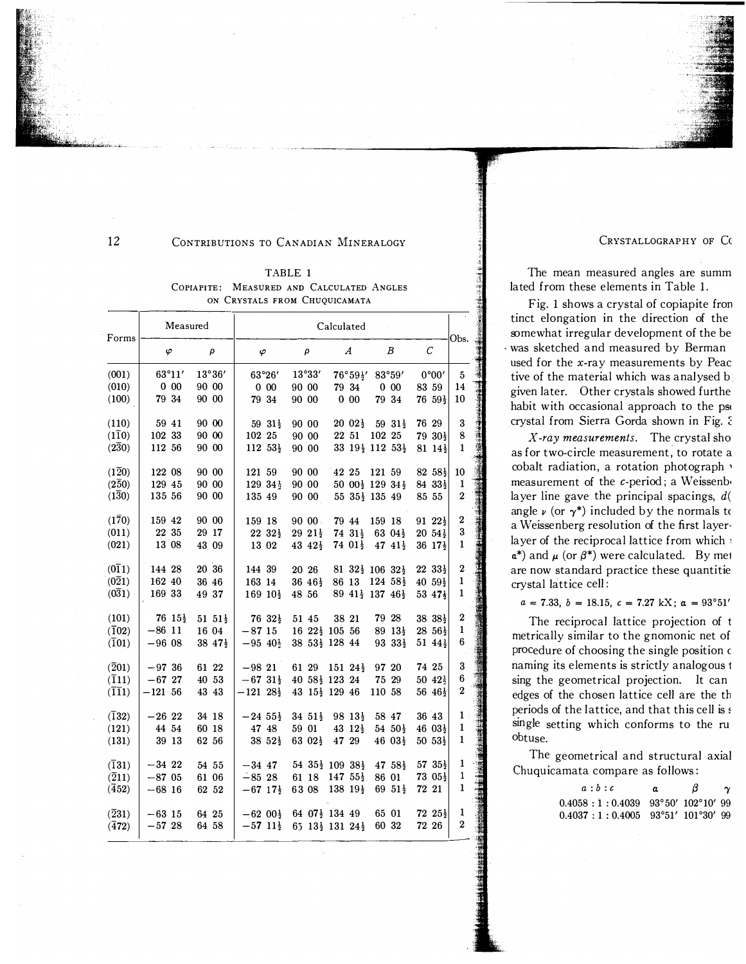12

#### CONTRIBUTIONS TO CANADIAN MINERALOGY

TABLE 1 COPIAPITE: MEASURED AND CALCULATED ANGLES ON CRYSTALS FROM CHUQUICAMATA

| Forms                          |            | Measured              |       |                       |                        | Calculated            |  |                       |                                               |                                                                      |        | Obs.                   |  |                       |                           |
|--------------------------------|------------|-----------------------|-------|-----------------------|------------------------|-----------------------|--|-----------------------|-----------------------------------------------|----------------------------------------------------------------------|--------|------------------------|--|-----------------------|---------------------------|
|                                | $\varphi$  |                       |       | ρ                     | $\varphi$              |                       |  | ρ                     |                                               | $\boldsymbol{A}$                                                     |        | B                      |  | C                     |                           |
| (001)                          | 63°11'     |                       |       | 13°36'                |                        | 63°26'                |  | 13°33'                |                                               | $76°59\frac{1}{2}$                                                   |        | 83°59'                 |  | 0°00'                 | 5                         |
| (010)                          | $0\ 00$    |                       | 90 00 |                       |                        | $0\ \ 00$             |  | 90 00                 |                                               | 79 34                                                                |        | $0\ 00$                |  | 83 59                 | 14                        |
| (100)                          | 79 34      |                       | 90 00 |                       | 79 34                  |                       |  | 90 00                 |                                               | $0\,00$                                                              |        | 79 34                  |  | $76\;\,59\frac{1}{2}$ | 10                        |
| (110)                          | 59 41      |                       | 90 00 |                       |                        | 59 $31\frac{1}{2}$    |  | 90 00                 |                                               | $20\ \,02\frac{1}{2}$                                                |        | 59 $31\frac{1}{2}$     |  | 76 29                 | 3                         |
| $(1\overline{1}0)$             | 102 33     |                       | 90 00 |                       | 102 25                 |                       |  | 90 00                 |                                               | 22 51                                                                | 102 25 |                        |  | 79 30 $\frac{1}{2}$   | 8                         |
| $(2\bar{3}0)$                  | 112 56     |                       | 90 00 |                       | $112 \t53\frac{1}{2}$  |                       |  | 90 00                 |                                               | 33 19 <sup>1</sup> / <sub>2</sub> 112 53 <sup>1</sup> / <sub>2</sub> |        |                        |  | $81\;14\frac{1}{2}$   | $\mathbf{1}$              |
| $(1\bar{2}0)$                  | 122 08     |                       | 90 00 |                       | 121 59                 |                       |  | 90 00                 | 42 25                                         |                                                                      | 121 59 |                        |  | $82\;\,58\frac{1}{2}$ | 10                        |
| $(2\bar{5}0)$                  | 129 45     |                       | 90 00 |                       |                        | 129 34}               |  | 90 00                 |                                               | 50 00 $\frac{1}{2}$ 129 34 $\frac{1}{2}$                             |        |                        |  | $8433\frac{1}{2}$     | 1                         |
| $(1\bar{3}0)$                  | 135 56     |                       | 90 00 |                       | 135 49                 |                       |  | 90 00                 |                                               | $55\,35\frac{1}{2}\,135\,49$                                         |        |                        |  | 85 55                 | $\boldsymbol{2}$          |
| $(1\bar{7}0)$                  | 159 42     |                       | 90 00 |                       | 159 18                 |                       |  | 9000                  |                                               | 79 44                                                                | 159 18 |                        |  | $91\;22\frac{1}{2}$   | $\mathbf{2}^{\mathbf{1}}$ |
| (011)                          | 22 35      |                       | 29 17 |                       |                        | $22\,32\frac{1}{2}$   |  | $29\;21\frac{1}{2}$   |                                               | $74.31\frac{1}{2}$                                                   |        | $63\;04\frac{1}{2}$    |  | $20\;\,54\frac{1}{2}$ | 3                         |
| (021)                          | 13 08      |                       | 43 09 |                       | 13 02                  |                       |  | $43\;42\frac{1}{2}$   |                                               | $74\;01\frac{1}{2}$                                                  |        | $47\;41\frac{1}{2}$    |  | $36\;17\frac{1}{2}$   | 1                         |
| $(0\overline{1}1)$             | 144 28     |                       | 20 36 |                       | 144 39                 |                       |  | 20 26                 |                                               | $81\;\,32\frac{1}{2}\;\,106\;\,32\frac{1}{2}$                        |        |                        |  | $2233\frac{1}{2}$     | $\boldsymbol{2}$          |
| $(0\overline{2}1)$             | 162 40     |                       | 36 46 |                       | 163 14                 |                       |  | $36\;46\frac{1}{2}$   |                                               | 86 13                                                                |        | $124\;\;58\frac{1}{2}$ |  | $40.59\frac{1}{2}$    | $\mathbf{1}$              |
| (031)                          | 169 33     |                       | 49 37 |                       | $169~10\frac{1}{2}$    |                       |  | 48 56                 |                                               | $89\;41\frac{1}{2}\;137\;46\frac{1}{2}$                              |        |                        |  | 53 47}                | 1                         |
| (101)                          |            | $76 \; 15\frac{1}{2}$ |       | $51\;\,51\frac{1}{2}$ |                        | $7632\frac{1}{2}$     |  | 51 45                 | 38 21                                         |                                                                      |        | 79 28                  |  | $38 \frac{38}{2}$     | $\boldsymbol{2}$          |
| $(\overline{1}02)$             | $-86$ 11   |                       |       | 16 04                 | $-87,15$               |                       |  |                       | $16\ 22\frac{1}{2}\ 105\ 56$                  |                                                                      |        | $89\;13\frac{1}{2}$    |  | $28,56\frac{1}{2}$    | $\mathbf{1}$              |
| $(\overline{1}01)$             | $-9608$    |                       |       | $38\;47\frac{1}{2}$   | $-95\;40\frac{1}{3}$   |                       |  |                       | 38 53} 128 44                                 |                                                                      |        | $933\frac{1}{2}$       |  | $51\;44\frac{1}{2}$   | 6                         |
| $\left( \overline{2}01\right)$ | $-97,36$   |                       | 61 22 |                       | $-9821$                |                       |  | 61 29                 |                                               | $151\ \,24\frac{1}{2}$                                               | 97 20  |                        |  | 74 25                 | 3                         |
| $(\overline{1}11)$             | $-6727$    |                       | 40 53 |                       | $-6731\frac{1}{2}$     |                       |  |                       | $40\;\,58\frac{1}{2}\;\,123\;\,24$            |                                                                      |        | 75 29                  |  | $50\;42\frac{1}{2}$   | 6                         |
| $(\overline{11}1)$             | $-121, 56$ |                       |       | 43 43                 | $-12128\frac{1}{2}$    |                       |  |                       | 43 $15\frac{1}{2}$ 129 46                     |                                                                      | 110 58 |                        |  | $56\,46\frac{1}{2}$   | $\boldsymbol{2}$          |
| $(\bar{1}32)$                  | $-2622$    |                       | 34 18 |                       | $-24.55\frac{1}{2}$    |                       |  | $34\;\,51\frac{1}{2}$ |                                               | $98\;13\frac{1}{2}$                                                  |        | 58 47                  |  | 36 43                 | $\mathbf{1}$              |
| (121)                          | 44 54      |                       | 60 18 |                       |                        | 47 48                 |  | 59 01                 |                                               | 43 $12\frac{1}{2}$                                                   |        | $54\;\,50\frac{1}{2}$  |  | $46\ \,03\frac{1}{2}$ | 1                         |
| (131)                          | 39 13      |                       | 62 56 |                       |                        | $38\;\,52\frac{1}{2}$ |  | 63 02 $\frac{1}{2}$   |                                               | 47 29                                                                |        | 46 $03\frac{1}{2}$     |  | $50\;\,53\frac{1}{2}$ | $\mathbf{1}$              |
| $(\overline{1}31)$             | $-3422$    |                       | 54 55 |                       | $-34, 47$              |                       |  |                       | $54\;\,35\frac{1}{2}\;\,109\;\,38\frac{1}{2}$ |                                                                      |        | $47\;\;58\frac{1}{2}$  |  | $57\,35\frac{1}{2}$   | 1                         |
| $(\overline{2}11)$             | $-8705$    |                       | 61 06 |                       | $-8528$                |                       |  | 61 18                 |                                               | $147,55\frac{1}{2}$                                                  |        | 86 01                  |  | $73.05\frac{1}{2}$    | 1                         |
| $(\bar{4}52)$                  | $-68$ 16   |                       | 62 52 |                       | $-67$ 17 $\frac{1}{2}$ |                       |  | 63 08                 |                                               | 138 19 $\frac{1}{2}$                                                 |        | 69 $51\frac{1}{2}$     |  | 72 21                 | $\mathbf{1}$              |
| $(\overline{2}31)$             | $-63$ 15   |                       | 64 25 |                       | $-6200\frac{1}{2}$     |                       |  |                       | 64 $07\frac{1}{2}$ 134 49                     |                                                                      |        | 65 01                  |  | $72\;25\frac{1}{2}$   | 1                         |
| $(\bar{4}72)$                  | $-5728$    |                       | 64 58 |                       | $-57$ 11 $\frac{1}{2}$ |                       |  |                       | 65 $13\frac{1}{2}$ 131 $24\frac{1}{2}$        |                                                                      | 60 32  |                        |  | 72 26                 | $\mathbf 2$               |

CRYSTALLOGRAPHY OF Cc

The mean measured angles are summ lated from these elements in Table 1.

Fig. 1 shows a crystal of copiapite fron tinct elongation in the direction of the somewhat irregular development of the be was sketched and measured by Berman used for the x-ray measurements by Peac tive of the material which was analysed b given later. Other crystals showed furthe habit with occasional approach to the pse crystal from Sierra Gorda shown in Fig.  $\epsilon$ 

X-ray measurements. The crystal sho as for two-circle measurement, to rotate a cobalt radiation, a rotation photograph, measurement of the  $c$ -period; a Weissenb layer line gave the principal spacings,  $d($ angle  $\nu$  (or  $\gamma^*$ ) included by the normals to a Weissenberg resolution of the first layer· layer of the reciprocal lattice from which 1  $\alpha^*$ ) and  $\mu$  (or  $\beta^*$ ) were calculated. By met are now standard practice these quantitie crystal lattice cell:

 $a = 7.33, b = 18.15, c = 7.27$  kX;  $\alpha = 93^{\circ}51'$ 

The reciprocal lattice projection of t metrically similar to the gnomonic net of procedure of choosing the single position <sup>c</sup> naming its elements is strictly analogous 1 sing the geometrical projection. It can edges of the chosen lattice cell are the th periods of the lattice, and that this cell is  $s$ single setting which conforms to the ru obtuse.

The geometrical and structural axial Chuquicamata compare as follows:

> $a:b:c$  a  $\beta$   $\gamma$ 0.4058 : 1 : 0.4039 93° 50' 102° 10' 99 0.4037:1: 0.4005 93°51' 101°30' 99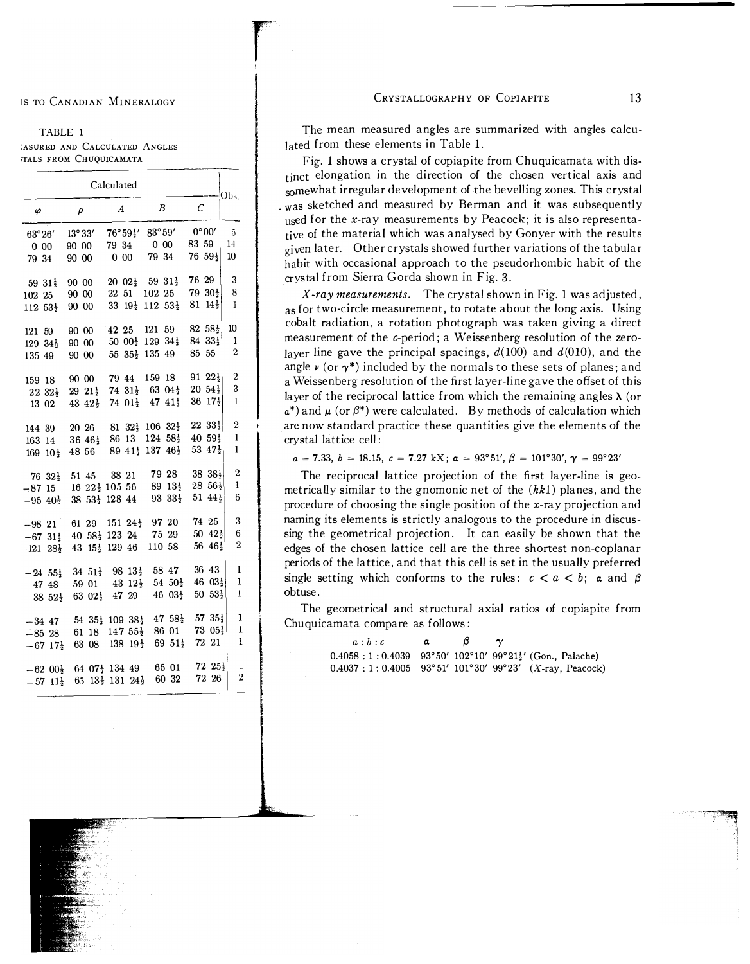#### IS TO CANADIAN MINERALOGY

#### TABLE 1 **IASURED AND CALCULATED ANGLES TALS FROM CHUQUICAMATA**

Calculated Obs.  $\mathcal C$  $\boldsymbol{A}$  $\boldsymbol{B}$  $\varphi$  $\rho$  $0°00$  $76^{\circ}59\frac{1}{2}$  $83^{\circ}59'$  $\bar{5}$ 63°26'  $13^\circ 33$ 83 59  $14$ 79 34  $0.00$  $0\ 00$ 90 00  $0.00$ 79 34  $76\;\;59\frac{1}{2}$ 10 79 34 90 00  $\mathbf{R}$  $20 \t02\frac{1}{2}$  59  $31\frac{1}{2}$ 76 29  $90.00$  $5931\frac{1}{2}$ 8  $22\ \ 51\quad \ 102\ \ 25$  $79.30\frac{1}{2}$ 102 25 90 00 33  $19\frac{1}{2}$  112  $53\frac{1}{2}$  $81 \t14\frac{1}{2}$  $\mathbf{1}$  $112\;\,53\frac{1}{2}$ 90 00 42 25 121 59 82  $58\frac{1}{2}$ 10 121 59 90 00 50  $00\frac{1}{2}$  129  $34\frac{1}{2}$  $84\;\,33\frac{1}{2}$  $\mathbf{1}$  $90.00$  $129\ \,34\frac{1}{2}$  $\overline{2}$ 55  $35\frac{1}{2}$  135 49 85 55 135 49 90 00  $\boldsymbol{2}$  $91\;\,22\frac{1}{2}$ 79 44 159 18 159 18 90 00 74  $31\frac{1}{2}$  63  $04\frac{1}{2}$  $\boldsymbol{3}$  $20\;\,54\frac{1}{2}$  $223\frac{1}{2}$  $29\;21\frac{1}{2}$  $36\;17\frac{1}{2}$  $\mathbf{1}$ 74  $01\frac{1}{2}$  47  $41\frac{1}{2}$  $43\;42\frac{1}{2}$ 13 02  $\overline{2}$  $81 \t32\frac{1}{2} \t106 \t32\frac{1}{2}$  $2233\frac{1}{2}$ 144 39 20 26  $\mathbf{1}$ 86 13 124  $58\frac{1}{2}$  $40.59\frac{1}{2}$ 163 14  $36\;46\frac{1}{2}$ 89 41<sup>1</sup>/<sub>2</sub> 137 46<sup>1</sup>/<sub>2</sub> 53  $47\frac{1}{2}$  $\mathbf{1}$  $169 \t10\frac{1}{2}$ 48 56 38 381  $\overline{2}$ 79 28 38 21  $7632\frac{1}{2}$ 51 45  $\mathbf{1}$  $1622\frac{1}{2}10556$  $89\;13\frac{1}{2}$  $28.56\frac{1}{2}$  $-8715$  $9333\frac{1}{2}$  $51\;44\frac{1}{2}$ 6  $-95\;40\frac{1}{2}$ 38 53<sup>1</sup> 128 44  $\overline{3}$ 74 25 61 29 151 24 $\frac{1}{2}$ 97 20  $-98,21$  $6\phantom{1}$  $50\;\; 42\frac{1}{2}$ 40 58 $\frac{1}{2}$  123 24 75 29  $-67$   $31\frac{1}{2}$ 56  $46\frac{1}{2}$  $\overline{2}$ 43 15<sup>1</sup>/<sub>2</sub> 129 46 110 58  $-121$   $28\frac{1}{2}$ 34  $51\frac{1}{2}$  98  $13\frac{1}{2}$  58 47 36 43  $\mathbf{1}$  $-24$   $55\frac{1}{2}$  $\mathbf{1}$  $46 \ \ 03\frac{1}{2}$ 43  $12\frac{1}{2}$ 54  $50\frac{1}{2}$ 59 01 47 48  $\mathbf{1}$ 63  $02\frac{1}{2}$  47 29  $46\ \ 03\frac{1}{2}$  $50\;\,53\frac{1}{2}$  $38\;\,52\frac{1}{2}$ 47  $58\frac{1}{2}$  $57.35<sup>1</sup>$  $\mathbf{1}$ 54  $35\frac{1}{2}$  109  $38\frac{1}{2}$  $-34$  47 61 18 147  $55\frac{1}{2}$ 86 01  $73\ \ 05\frac{1}{2}$  $\mathbf 1$  $-8528$  $\mathbf{1}$  $-67$  17 $\frac{1}{2}$  63 08 138 19 $\frac{1}{2}$ 72 21 69  $51\frac{1}{2}$  $72\;25\frac{1}{2}$  $\mathbf{1}$  $-62\;00\frac{1}{2}$  64 07 $\frac{1}{2}$  134 49 65 01  $\boldsymbol{2}$ 72 26 60 32  $-57$   $11\frac{1}{2}$  65  $13\frac{1}{2}$  131  $24\frac{1}{2}$ 

#### CRYSTALLOGRAPHY OF COPIAPITE

The mean measured angles are summarized with angles calculated from these elements in Table 1.

Fig. 1 shows a crystal of copiapite from Chuquicamata with distinct elongation in the direction of the chosen vertical axis and somewhat irregular development of the bevelling zones. This crystal was sketched and measured by Berman and it was subsequently used for the x-ray measurements by Peacock; it is also representative of the material which was analysed by Gonyer with the results given later. Other crystals showed further variations of the tabular habit with occasional approach to the pseudorhombic habit of the crystal from Sierra Gorda shown in Fig. 3.

X-ray measurements. The crystal shown in Fig. 1 was adjusted, as for two-circle measurement, to rotate about the long axis. Using cobalt radiation, a rotation photograph was taken giving a direct measurement of the c-period; a Weissenberg resolution of the zerolayer line gave the principal spacings,  $d(100)$  and  $d(010)$ , and the angle  $\nu$  (or  $\gamma^*$ ) included by the normals to these sets of planes; and a Weissenberg resolution of the first layer-line gave the offset of this layer of the reciprocal lattice from which the remaining angles  $\lambda$  (or  $\alpha^*$ ) and  $\mu$  (or  $\beta^*$ ) were calculated. By methods of calculation which are now standard practice these quantities give the elements of the crystal lattice cell:

 $a = 7.33$ ,  $b = 18.15$ ,  $c = 7.27$  kX;  $\alpha = 93^{\circ}51'$ ,  $\beta = 101^{\circ}30'$ ,  $\gamma = 99^{\circ}23'$ 

The reciprocal lattice projection of the first layer-line is geometrically similar to the gnomonic net of the  $(hk1)$  planes, and the procedure of choosing the single position of the  $x$ -ray projection and naming its elements is strictly analogous to the procedure in discussing the geometrical projection. It can easily be shown that the edges of the chosen lattice cell are the three shortest non-coplanar periods of the lattice, and that this cell is set in the usually preferred single setting which conforms to the rules:  $c < a < b$ ; a and  $\beta$ obtuse.

The geometrical and structural axial ratios of copiapite from Chuquicamata compare as follows:

> $a:b:c$ β  $\alpha$  $\gamma$  $0.4058:1:0.4039$   $93^{\circ}50'$   $102^{\circ}10'$   $99^{\circ}21\frac{1}{2}'$  (Gon., Palache)  $0.4037:1:0.4005$   $93^{\circ}51'$   $101^{\circ}30'$   $99^{\circ}23'$  (X-ray, Peacock)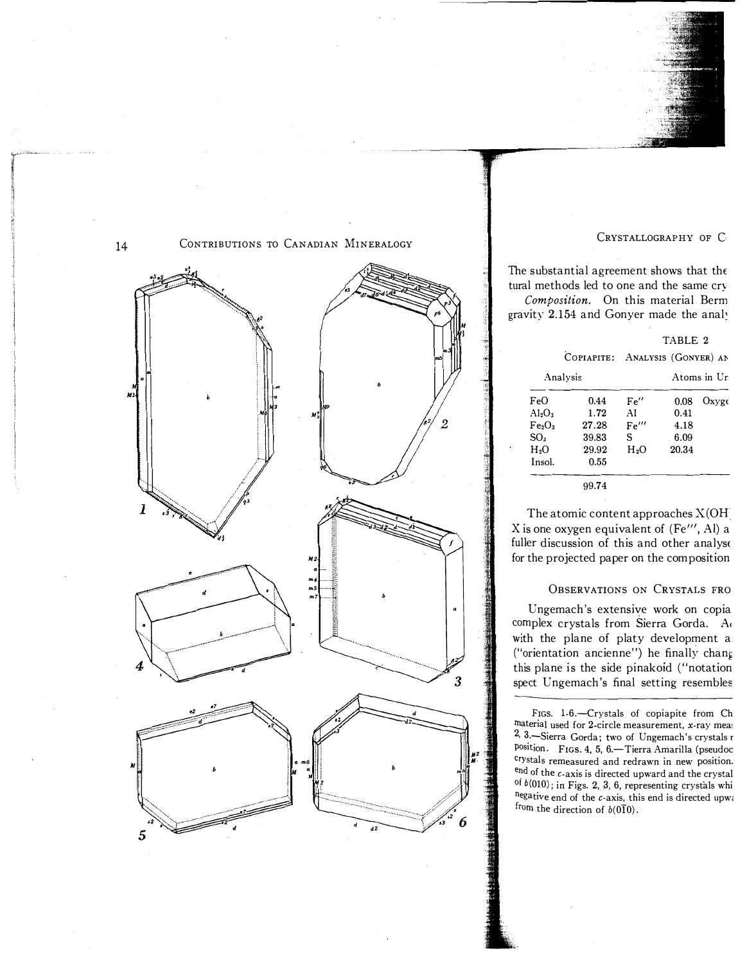



## CRYSTALLOGRAPHY OF C

The substantial agreement shows that the tural methods led to one and the same cry Composition. On this material Berm gravity 2.154 and Gonyer made the analy

|                                |            |                  | TABLE 2              |             |
|--------------------------------|------------|------------------|----------------------|-------------|
|                                | COPIAPITE: |                  | ANALYSIS (GONYER) AN |             |
|                                | Analysis   |                  |                      | Atoms in Ur |
| FeO                            | 0.44       | Fe''             | 0.08                 | Oxvee       |
| Al <sub>2</sub> O <sub>3</sub> | 1.72       | Al               | 0.41                 |             |
| Fe <sub>2</sub> O <sub>3</sub> | 27.28      | Fe'''            | 4.18                 |             |
| SO <sub>3</sub>                | 39.83      | S                | 6.09                 |             |
| H <sub>2</sub> O               | 29.92      | H <sub>2</sub> O | 20.34                |             |
| Insol.                         | 0.55       |                  |                      |             |
|                                | 99.74      |                  |                      |             |

The atomic content approaches  $X(OH)$ X is one oxygen equivalent of  $(Fe''', Al)$  a fuller discussion of this and other analyse for the projected paper on the composition

#### OBSERVATIONS ON CRYSTALS FRO

Ungemach's extensive work on copia complex crystals from Sierra Gorda. A with the plane of platy development a ("orientation ancienne") he finally chang this plane is the side pinakoid ("notation spect Ungemach's final setting resembles

FIGS. 1-6.-Crystals of copiapite from Ch material used for 2-circle measurement, x-ray meas 2, 3. Sierra Gorda; two of Ungemach's crystals r position. FIGS. 4, 5, 6.-Tierra Amarilla (pseudoc crystals remeasured and redrawn in new position.  $\text{end}$  of the  $c$ -axis is directed upward and the crystal <sup>of</sup>  $b(010)$ ; in Figs. 2, 3, 6, representing crystals whi negative end of the  $c$ -axis, this end is directed upw. from the direction of  $b(0\overline{1}0)$ .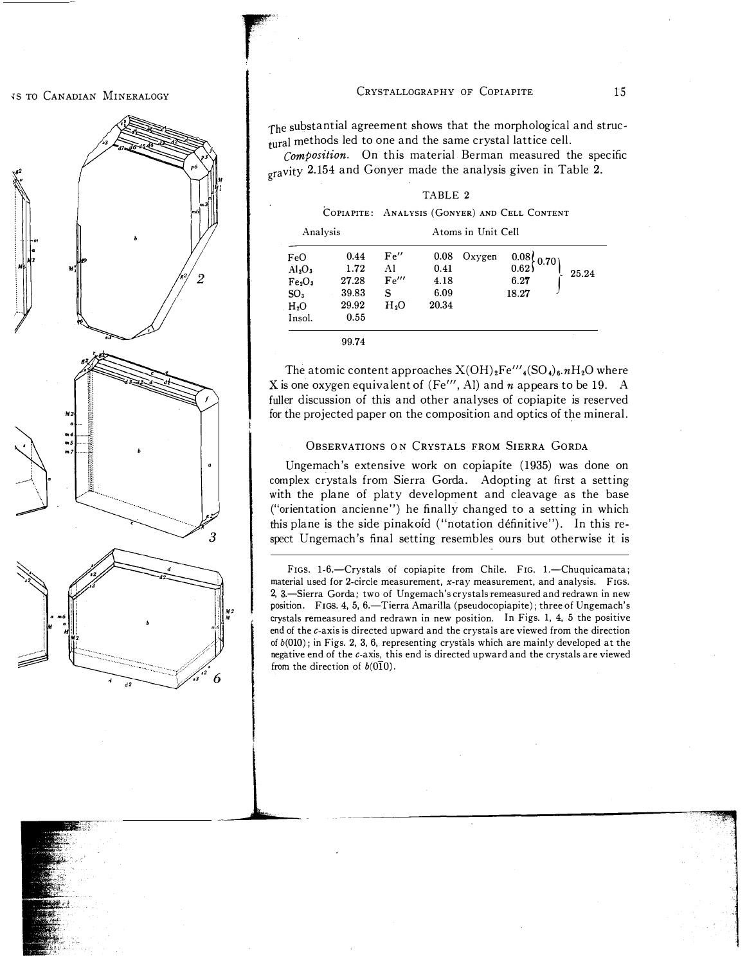#### *IS TO CANADIAN MINERALOGY*

# '\  $\mathscr{D}$ M2 ... .. 5 .. 7 3

#### CRYSTALLOGRAPHY OF COPIAPITE 15

The substantial agreement shows that the morphological and structural methods led to one and the same crystal lattice cell.

Composition. On this material Berman measured the specific gravity 2.154 and Gonyer made the analysis given in Table 2.

TABLE 2

|                                                                                                                          |                                                 |                                              |                                       |        | COPIAPITE: ANALYSIS (GONYER) AND CELL CONTENT |       |
|--------------------------------------------------------------------------------------------------------------------------|-------------------------------------------------|----------------------------------------------|---------------------------------------|--------|-----------------------------------------------|-------|
| Analysis                                                                                                                 |                                                 |                                              |                                       |        |                                               |       |
| FeO<br>Al <sub>2</sub> O <sub>3</sub><br>Fe <sub>2</sub> O <sub>3</sub><br>SO <sub>3</sub><br>H <sub>2</sub> O<br>Insol. | 0.44<br>1.72<br>27.28<br>39.83<br>29.92<br>0.55 | Fe''<br>Al<br>Fe'''<br>s<br>O <sub>s</sub> H | 0.08<br>0.41<br>4.18<br>6.09<br>20.34 | Oxygen | $0.08\big\} 0.70$<br>0.62<br>6.27<br>18.27    | 25.24 |
|                                                                                                                          |                                                 |                                              |                                       |        |                                               |       |

99.74

ra de la companya de la companya de la companya de la companya de la companya de la companya de la companya de<br>La companya de la companya de la companya de la companya de la companya de la companya de la companya de la co

The atomic content approaches  $X(OH)_2Fe'''$ <sub>4</sub>(SO<sub>4</sub>)<sub>6</sub>. $nH_2O$  where X is one oxygen equivalent of (Fe'", Al) and  $n$  appears to be 19. A fuller discussion of this and other analyses of copiapite is reserved for the projected paper on the composition and optics of the mineral.

#### OBSERVATIONS ON CRYSTALS FROM SIERRA GORDA

Ungemach's extensive work on copiapite (1935) was done on complex crystals from Sierra Gorda. Adopting at first a setting with the plane of platy development and cleavage as the base ("orientation ancienne") he finalIy changed to a setting in which this plane is the side pinakoid ("notation définitive"). In this respect Ungemach's final setting resembles ours but otherwise it is

FIGS. 1-6.-Crystals of copiapite from Chile. FIG. 1.-Chuquicamata; material used for 2-circle measurement, x-ray measurement, and analysis. FIGS. 2, 3.-Sierra Gorda; two of Ungemach's crystals remeasured and redrawn in new position. FIGS. 4, 5, 6.-Tierra Amarilla (pseudocopiapite); three of Ungemach's crystals remeasured and redrawn in new position. In Figs. 1, 4, 5 the positive end of the c-axis is directed upward and the crystals are viewed from the direction of  $b(010)$ ; in Figs. 2, 3, 6, representing crystals which are mainly developed at the negative end of the c-axis, this end is directed upward and the crystals are viewed from the direction of  $b(0\bar{1}0)$ .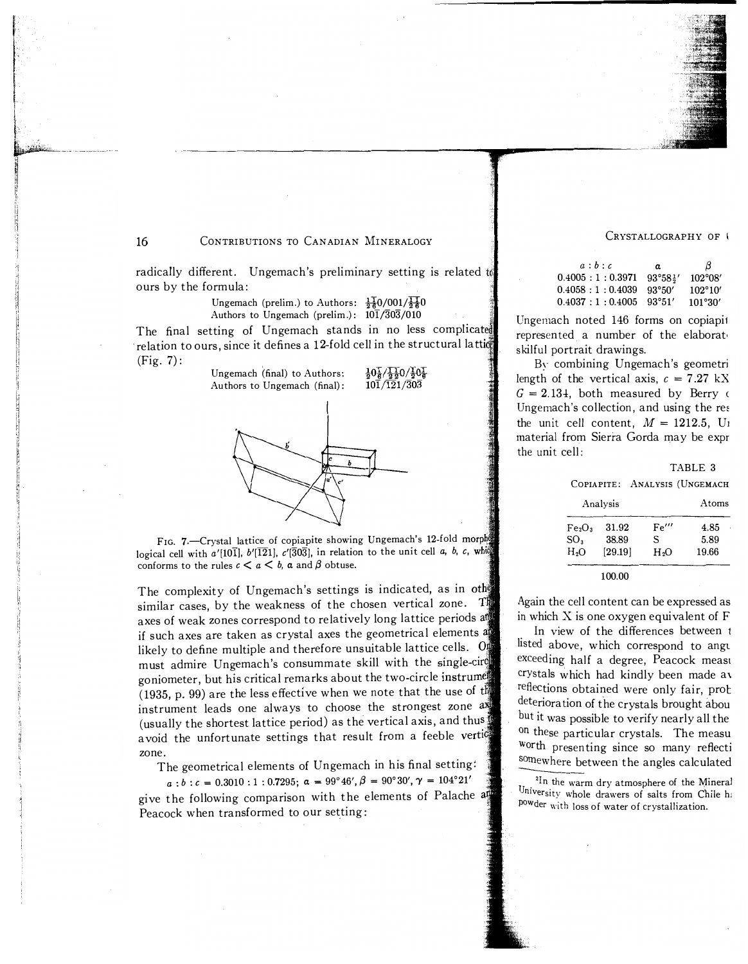CRYSTALLOGRAPHY OF

| a:b:c                                              | $\alpha$ | В                |
|----------------------------------------------------|----------|------------------|
| $0.4005 : 1 : 0.3971$ $93^{\circ}58^{\frac{1}{2}}$ |          | $102^{\circ}08'$ |
| $0.4058 : 1 : 0.4039$ 93°50′                       |          | $102^{\circ}10'$ |
| $0.4037 : 1 : 0.4005$ 93°51′                       |          | 101°30'          |

Ungemach noted 146 forms on copiapi1 represented a number of the elaborat, skilful portrait drawings.

By combining Vngemach's geometri length of the vertical axis,  $c = 7.27 \text{ kX}$  $G = 2.134$ , both measured by Berry  $\epsilon$ Ungemach's collection, and using the re< the unit cell content,  $M = 1212.5$ , U<sub>1</sub> material from Sierra Gorda may be expr the unit cell:

|                                |            |                    | TABLE 3 |
|--------------------------------|------------|--------------------|---------|
|                                | COPIAPITE: | ANALYSIS (UNGEMACH |         |
|                                | Analysis   |                    | Atoms   |
| Fe <sub>2</sub> O <sub>3</sub> | 31.92      | Fe'''              | 4.85    |
| SO <sub>3</sub>                | 38.89      | S                  | 5.89    |
| H <sub>2</sub> O               | [29.19]    | H <sub>2</sub> O   | 19.66   |

100.00

Again the cell content can be expressed as in which X is one oxygen equivalent of F

In view of the differences between 1 listed above, which correspond to angu exceeding half a degree, Peacock measu crystals which had kindly been made a\ reflections obtained were only fair, prob deterioration of the crystals brought abou but it was possible to verify nearly all the On these particular crystals. The measu Worth presenting since so many refiecti somewhere between the angles calculated

University whole drawers of salts from Chile  $h_i$ <sup>2I</sup>n the warm dry atmosphere of the Mineral POwder with loss of water of crystallization.

16 **CONTRIBUTIONS TO CANADIAN MINERALOGY** 

radically different. Ungemach's preliminary setting is related to ours by the formula:

> Ungemach (prelim.) to Authors:  $\frac{11}{26}$ 0/001/ $\frac{11}{26}$ 0 Authors to Ungemach (prelim.):  $10\overline{1}/\overline{3}0\overline{3}/010$

The final setting of Ungemach stands in no less complicated relation to ours, since it defines a 12-fold cell in the structural lattid (Fig. 7):

> $\frac{1}{6}0\frac{1}{2}/\frac{1}{20}0/\frac{1}{2}0\frac{1}{6}$  $10\overline{1}/\overline{12}1/\overline{3}0\overline{3}$

Ungemach (final) to Authors: Authors to Ungemach (final):

FIG. 7.-Crystal lattice of copiapite showing Ungemach's 12-fold morphy logical cell with a'[101],  $b'$ [121],  $c'$ [303], in relation to the unit cell a, b, c, whigh conforms to the rules  $c < a < b$ ,  $\alpha$  and  $\beta$  obtuse.

The complexity of Ungemach's settings is indicated, as in other similar cases, by the weakness of the chosen vertical zone. The axes of weak zones correspond to relatively long lattice periods and if such axes are taken as crystal axes the geometrical elements likely to define multiple and therefore unsuitable lattice cells. Of must admire Ungemach's consummate skill with the single-circl goniometer, but his critical remarks about the two-circle instrume (1935, p. 99) are the less effective when we note that the use of  $t\mathbb{N}$ instrument leads one always to choose the strongest zone  $a\bar{x}$ (usually the shortest lattice period) as the vertical axis, and thus avoid the unfortunate settings that result from a feeble vertice zone.

The geometrical elements of Ungemach in his final setting:

 $a:b:c = 0.3010:1:0.7295; \ \alpha = 99^{\circ}46', \beta = 90^{\circ}30', \gamma = 104^{\circ}21'$ <sup>g</sup>ive the following comparison with the elements of Palache Peacock when transformed to our setting: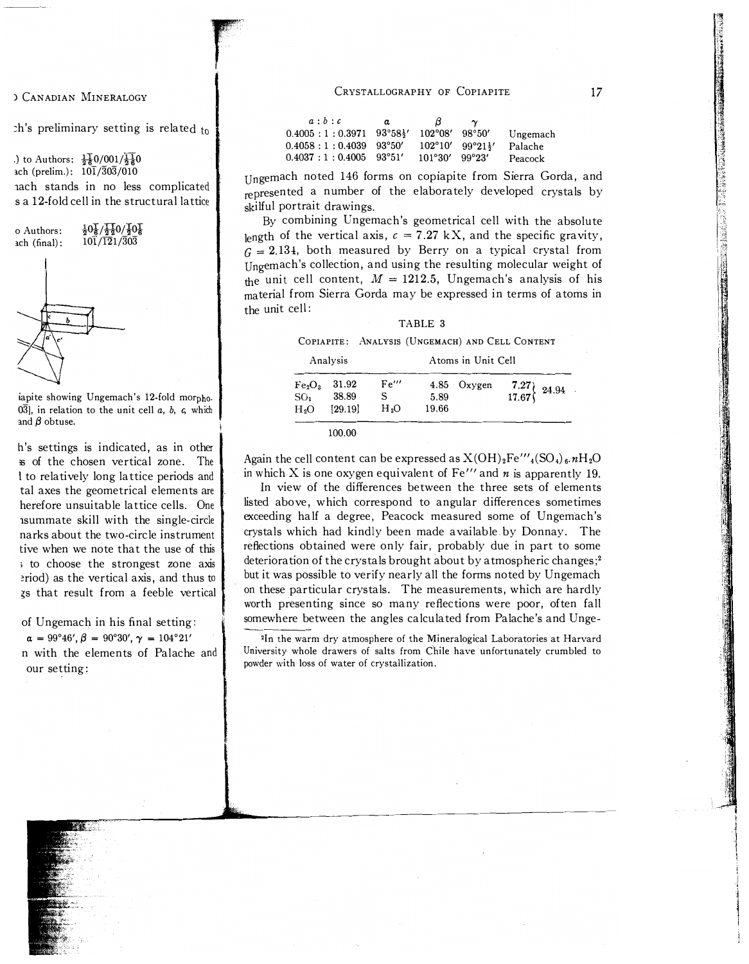) CANADIAN MINERALOGY

 $\Delta$  is preliminary setting is related to

'r:

 '''· I 11.

.) to Authors:  $\frac{11}{6}$  (001/ $\frac{11}{6}$ ) ach (prelim.):  $10\overline{1}/\overline{3}0\overline{3}/010$ lach stands in no less complicated sa 12-fold cell in the structural lattice

o Authors: 
$$
\frac{1}{2}0\frac{1}{6}\sqrt{\frac{1}{2}}20/\frac{1}{2}0\frac{1}{6}
$$
  
ach (final):  $10\overline{1}/121/\overline{3}0\overline{3}$ 

iapite showing Ungemach's 12-fold morpho.  $0\overline{3}$ ], in relation to the unit cell a, b, c, which and  $\beta$  obtuse.

h's settings is indicated, as in other ;s of the chosen vertical zone. The I to relatively long lattice periods and tal axes the geometrical elements are herefore unsuitable lattice cells. One lsummate skill with the single-circle narks about the two-circle instrument tive when we note that the use of this ; to choose the strongest zone axis �riod) as the vertical axis, and thus to  $z<sub>s</sub>$  that result from a feeble vertical

of Ungemach in his final setting:

 $\alpha = 99^{\circ}46', \beta = 90^{\circ}30', \gamma = 104^{\circ}21'$ n with the elements of Palache and our setting:

CRYSTALLOGRAPHY OF COPIAPITE

| a:b:c                                           | a | B                       | $\mathbf{\sim}$                                    |          |
|-------------------------------------------------|---|-------------------------|----------------------------------------------------|----------|
| $0.4005 : 1 : 0.3971$ $93^{\circ}58\frac{1}{2}$ |   | $102^{\circ}08'$ 98°50' |                                                    | Ungemach |
| $0.4058:1:0.4039$ 93°50′                        |   |                         | $102^{\circ}10'$ 99°21 <sup>1</sup> / <sub>2</sub> | Palache  |
| $0.4037 : 1 : 0.4005$ 93°51′                    |   | 101°30'                 | 99°23′                                             | Peacock  |

Ungemach noted 146 forms on copiapite from Sierra Gorda, and represented a number of the elaborately developed crystals by skilful portrait drawings.

By combining Ungemach's geometrical cell with the absolute length of the vertical axis,  $c = 7.27$  kX, and the specific gravity,  $G = 2.134$ , both measured by Berry on a typical crystal from Ungemach's collection, and using the resulting molecular weight of the unit cell content,  $M = 1212.5$ , Ungemach's analysis of his material from Sierra Gorda may be expressed in terms of atoms in the unit cell:

#### TABLE 3

COPIAPITE: ANALYSIS (UNGEMACH) AND CELL CONTENT

| Analysis                                                              |                           |                                | Atoms in Unit Cell |             |                                                                                |  |  |
|-----------------------------------------------------------------------|---------------------------|--------------------------------|--------------------|-------------|--------------------------------------------------------------------------------|--|--|
| Fe <sub>2</sub> O <sub>3</sub><br>SO <sub>3</sub><br>H <sub>2</sub> O | 31.92<br>38.89<br>[29.19] | Fe'''<br>S<br>H <sub>2</sub> O | 5.89<br>19.66      | 4.85 Oxygen | $\left\{\n \begin{array}{c}\n 7.27 \\  17.67\n \end{array}\n \right\}\n 24.94$ |  |  |
|                                                                       |                           |                                |                    |             |                                                                                |  |  |

Again the cell content can be expressed as  $X(OH)_2Fe'''_4(SO_4)_6. nH_2O$ 

in which X is one oxygen equivalent of Fe''' and  $n$  is apparently 19. In view of the differences between the three sets of elements listed above, which correspond to angular differences sometimes exceeding half a degree, Peacock measured some of Ungemach's crystals which had kindly been made available by Donnay. The reflections obtained were only fair, probably due in part to some deterioration of the crystals brought about by atmospheric changes; 2 but it was possible to verify nearly all the forms noted by Ungemach on these particular crystals. The measurements, which are hardly worth presenting since so many reflections were poor, often fall somewhere between the angles calculated from Palache's and Unge-

2In the warm dry atmosphere of the Mineralogical Laboratories at Harvard University whole drawers of salts from Chile have unfortunately crumbled to powder with loss of water of crystallization.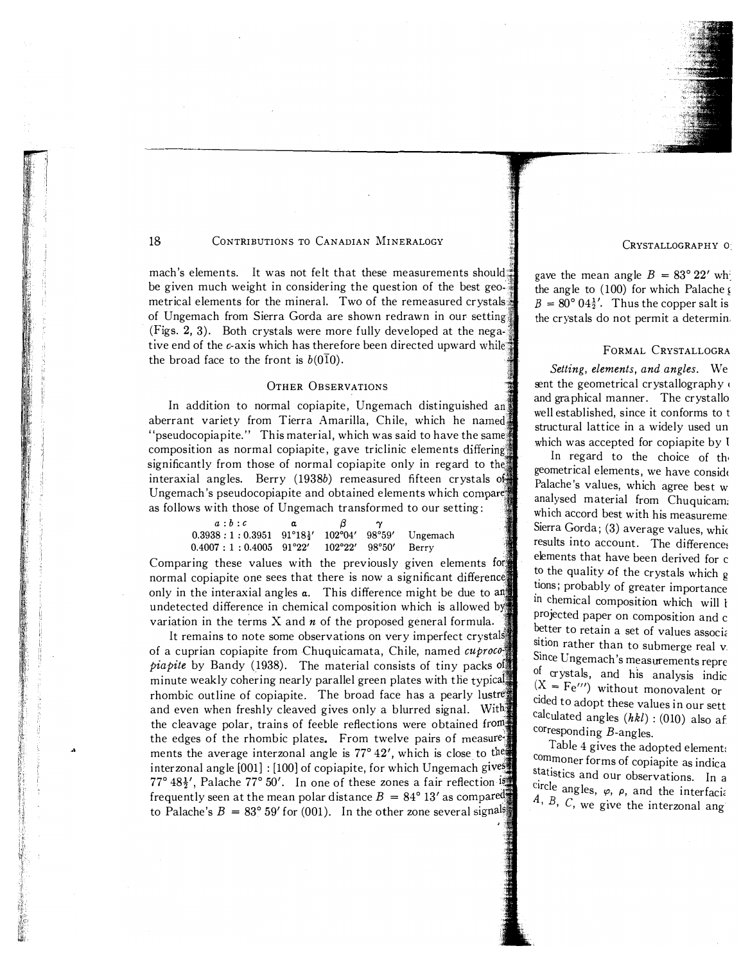

mach's elements. It was not felt that these measurements should. be given much weight in considering the question of the best geo-' metrical elements for the mineral. Two of the remeasured crystals of Ungemach from Sierra Gorda are shown redrawn in our setting (Figs. 2, 3). Both crystals were more fully developed at the negative end of the  $\epsilon$ -axis which has therefore been directed upward while. the broad face to the front is  $b(010)$ .

#### OTHER OBSERVATIONS

In addition to normal copiapite, Ungemach distinguished an aberrant variety from Tierra Amarilla, Chile, which he "pseudocopiapite." This material, which was said to have the same composition as normal copiapite, gave triclinic elements differing significantly from those of normal copiapite only in regard to the interaxial angles. Berry (1938b) remeasured fifteen crystals  $0\frac{1}{2}$ Ungemach's pseudocopiapite and obtained elements which compare as follows with those of Ungemach transformed to our setting:

| a:b:c                                                                     | α | $\beta$ |  |
|---------------------------------------------------------------------------|---|---------|--|
| $0.3938:1:0.3951 \quad 91^{\circ}18\frac{1}{2}$ ' 102°04' 98°59' Ungemach |   |         |  |
| $0.4007:1:0.4005$ 91°22′ 102°22′ 98°50′ Berry                             |   |         |  |

Comparing these values with the previously given elements for normal copiapite one sees that there is now a significant difference only in the interaxial angles  $\alpha$ . This difference might be due to  $\alpha$ undetected difference in chemical composition which is allowed by variation in the terms  $X$  and  $n$  of the proposed general formula.

It remains to note some observations on very imperfect crystals: of a cuprian copiapite from Chuquicamata, Chile, named cuproco*piapite* by Bandy (1938). The material consists of tiny packs  $\sigma$ minute weakly cohering nearly parallel green plates with the typical rhombic outline of copiapite. The broad face has a pearly lustre and even when freshly cleaved gives only a blurred signal. With the cleavage polar, trains of feeble reflections were obtained the edges of the rhombic plates. From twelve pairs of measure- $\frac{1}{2}$ ments the average interzonal angle is  $77^{\circ}$  42', which is close to the interzonal angle [001] : [100] of copiapite, for which Ungemach gives 77° 48 $\frac{1}{2}$ ', Palache 77° 50'. In one of these zones a fair reflection  $\frac{150}{2}$ frequently seen at the mean polar distance  $B = 84^{\circ} 13'$  as compared to Palache's  $B = 83^\circ 59'$  for (001). In the other zone several signals

CRYSTALLOGRAPHY <sup>0</sup>

gave the mean angle  $B = 83^{\circ} 22'$  wh the angle to  $(100)$  for which Palache  $\epsilon$  $B = 80^{\circ} 04\frac{1}{2}$ . Thus the copper salt is the crystals do not permit a determin.

#### FORMAL CRYSTALLOGRA

Setting, elements, and angles. We sent the geometrical crystallography and graphical manner. The crystaIlo well established, since it conforms to <sup>t</sup> structural lattice in a widely used un which was accepted for copiapite by 1

In regard to the choice of the geometrical elements, we have considt Palache's values, which agree best w analysed material from Chuquicam: which accord best with his measureme Sierra Gorda;  $(3)$  average values, which results into account. The differences elements that have been derived for <sup>c</sup> to the quality of the crystals which g � Ions; probably of greater importance m chemical composition which will <sup>1</sup> projected paper on composition and c better to retain a set of values associa stion rather than to submerge real  $v$ . . Smce Ungemach's measurements repre of crystals, and his analysis indic  $(X = Fe''')$  without monovalent or cided to adopt these values in our sett calculated angles  $(hkl)$  : (010) also af corresponding B-angles.

Table 4 gives the adopted element: com . moner forms of copiapite as indica statistics and our observations. In a  $A, B, C$ , we give the interzonal ang circle angles,  $\varphi$ ,  $\rho$ , and the interfacial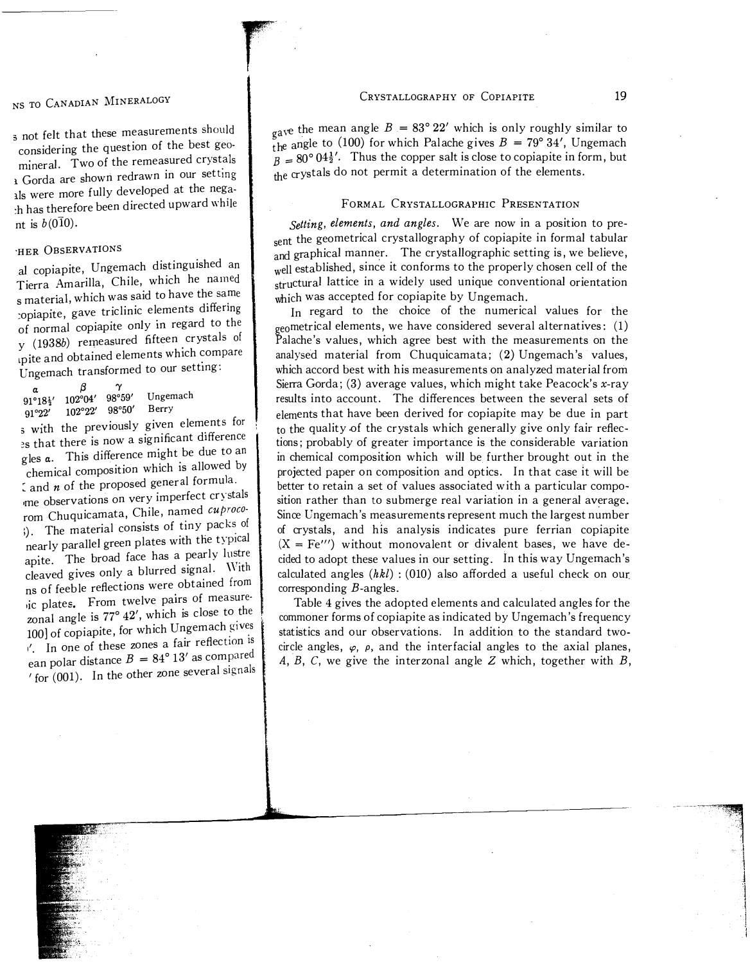#### CRYSTALLOGRAPHY OF COPIAPITE 19

3 not felt that these measurements should considering the question of the best geo

mineral. Two of the remeasured crystals 1 Gorda are shown redrawn in our setting  $\frac{1}{2}$  were more fully developed at the nega-:h has therefore been directed upward while nt is  $b(0\bar{1}0)$ .

# 'HER OBSERVATIONS

al copiapite, Ungemach distinguished an Tierra Amarilla, Chile, which he named  $\frac{1}{s}$  material, which was said to have the same s material, which was sale-<br>the elements differing<br>copiapite, gave triclinic elements differing , of normal copiapite only m regard to the  $y$  (1938b) remeasured fifteen crystals of y (19380) remeasured meeting.<br>
upite and obtained elements which compare Ungemach transformed to our setting:

| α      |                                              | $\tilde{ }$ |          |  |
|--------|----------------------------------------------|-------------|----------|--|
|        | $91^{\circ}18\frac{1}{2}$ ' $102^{\circ}04'$ | 98°59′      | Ungemach |  |
| 91°22' | $102°22'$ $98°50'$                           |             | Berry    |  |
|        |                                              |             |          |  |

 $_5$  with the previously given elements for<br>a that there is now a significant difference es that there is now a significant difference gles  $\alpha$ . This difference might be due to an the  $\alpha$ . This difference implies  $\alpha$ .<br>
chemical composition which is allowed by

 $\zeta$  and  $n$  of the proposed general formula.  $\frac{1}{2}$  and *n* of the proposed general formations<br>on very imperfect crystals rom Chuquicamata, Chile, named cuproco-;). The material consists of tiny packs of nearly parallel green plates with the typical apite. The broad face has a pearly lustre apite. The broad race has a pearly the<br>cleaved gives only a blurred signal. With ns of feeble reflections were obtained from ns of feeble renections were obtained.<br>
inc plates. From twelve pairs of measurezonal angle is  $77^\circ$   $42'$ , which is close to the 100] of copiapite, for which Ungemach gives  $\frac{1}{1}$  In one of these zones a fair reflection is  $\frac{1}{2}$  an polar distance  $B = 84^{\circ} 13'$  as compared  $'$  for  $(001)$ . In the other zone several signals gave the mean angle  $B = 83^{\circ} 22'$  which is only roughly similar to  $\frac{5}{h}$  angle to (100) for which Palache gives  $B = 79^{\circ} 34'$ , Ungemach  $B=80^{\circ} 04\frac{1}{2}$ . Thus the copper salt is close to copiapite in form, but the crystals do not permit a determination of the elements,

#### FORMAL CRYSTALLOGRAPHIC PRESENTATION

Setting, elements, and angles. We are now in a position to present the geometrical crystallography of copiapite in formal tabular and graphical manner. The crystallographic setting is, we believe, well established, since it conforms to the properly chosen cell of the structural lattice in a widely used unique conventional orientation which was accepted for copiapite by Ungemach.

In regard to the choice of the numerical values for the  $_{\rm geo}$ metrical elements, we have considered several alternatives:  $\,$  (1)  $\,$ Palache's values, which agree best with the measurements on the analysed material from Chuquicamata; (2) Ungemach's values, which accord best with his measurements on analyzed material from Sierra Gorda; (3) average values, which might take Peacock's x-ray results into account, The differences between the several sets of elements that have been derived for copiapite may be due in part to the quality of the crystals which generally give only fair reflections; probably of greater importance is the considerable variation in chemical composition which will be further brought out in the projected paper on composition and optics, In that case it will be better to retain a set of values associated with a particular composition rather than to submerge real variation in a general average, Since Ungemach's measurements represent much the largest number of crystals, and his analysis indicates pure ferrian copiapite  $(X = Fe''')$  without monovalent or divalent bases, we have decided to adopt these values in our setting, In this way Ungemach's calculated angles  $(hkl)$ : (010) also afforded a useful check on our corresponding  $B$ -angles.

Table 4 gives the adopted elements and calculated angles for the commoner forms of copiapite as indicated by Ungemach's frequency statistics and our observations. In addition to the standard twocircle angles,  $\varphi$ ,  $\rho$ , and the interfacial angles to the axial planes, A, B, C, we give the interzonal angle Z which, together with  $B$ ,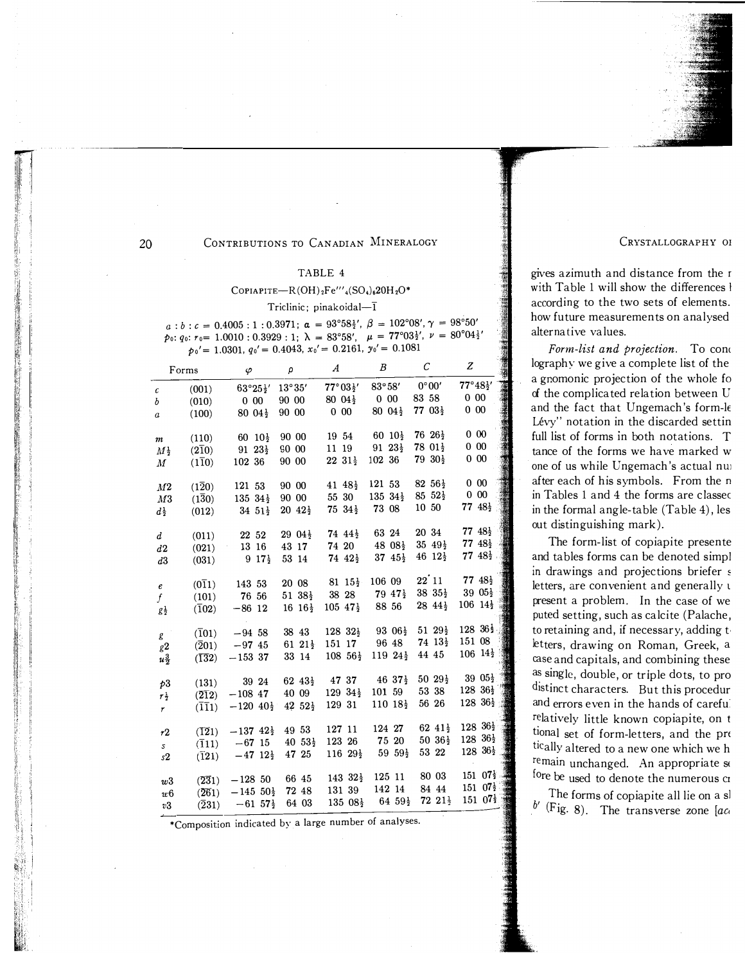CRYSTALLOGRAPHY OF

gives azimuth and distance from the r with Table 1 will show the differences l according to the two sets of elements. how future measurements on analysed alternative values.

Form-list and projection. To cond lography we give a complete list of the a gromonic projection of the whole fo of the complicated relation between U and the fact that Ungemach's form-le Lévy" notation in the discarded settin full list of forms in both notations. T tance of the forms we have marked w one of us while Ungemach's actual nui after each of his symbols. From the n in Tables 1 and 4 the forms are classed in the formal angle-table (Table 4), les out distinguishing mark).

The form-list of copiapite presente and tables forms can be denoted simpl in drawings and projections briefer s letters, are convenient and generally u present a problem. In the case of we puted setting, such as calcite (Palache, to retaining and, if necessary, adding to letters, drawing on Roman, Greek, a case and capitals, and combining these as single, double, or triple dots, to pro distinct characters. But this procedur and errors even in the hands of careful relatively little known copiapite, on t tional set of form-letters, and the pre tically altered to a new one which we h remain unchanged. An appropriate se fore be used to denote the numerous cr

The forms of copiapite all lie on a sl  $b'$  (Fig. 8). The transverse zone [act]

\*Composition indicated by a large number of analyses.

|                   |                               | $p_0 = 1.0501$ , $q_0 = 0.4045$ , $x_0 = 0.2101$ , $y_0 = 0.1001$                               |                       |                                              |                                                               |                            |                                                                                                                                               |
|-------------------|-------------------------------|-------------------------------------------------------------------------------------------------|-----------------------|----------------------------------------------|---------------------------------------------------------------|----------------------------|-----------------------------------------------------------------------------------------------------------------------------------------------|
|                   | Forms                         | $\varphi$ $\rho$                                                                                |                       | $\overline{A}$                               | $B$ $C$                                                       |                            | $\boldsymbol{z}$                                                                                                                              |
| $\mathcal{C}$     |                               | (001) $63^{\circ}25\frac{1}{2}$ ' 13°35' $77^{\circ}03\frac{1}{2}$ ' 83°58' $0^{\circ}00'$      |                       |                                              |                                                               |                            | $77^{\circ}48\frac{1}{2}$ ' 0 00                                                                                                              |
| $\mathfrak{b}$    |                               | $(010)$ 0 00 90 00                                                                              |                       | $80\;04\frac{1}{2}$ 0 00 83 58               |                                                               |                            |                                                                                                                                               |
| $\boldsymbol{a}$  | (100)                         | $80\;04\frac{1}{2}$ 90 00                                                                       |                       | $0\,00$                                      | $80\;04\frac{1}{2}$                                           | $77~03\frac{1}{2}$         | $\frac{1}{2}$<br>$0\,00$                                                                                                                      |
|                   |                               |                                                                                                 |                       |                                              |                                                               |                            |                                                                                                                                               |
| $\boldsymbol{m}$  | (110)                         | 60 $10\frac{1}{2}$ 90 00                                                                        |                       |                                              | $19\ 54$ 60 $10\frac{1}{2}$ 76 $26\frac{1}{2}$                |                            | $0\ \ 00$                                                                                                                                     |
|                   |                               | $M_{\frac{1}{2}}$ (210) 91 23 $_{\frac{1}{2}}$ 90 00                                            |                       |                                              | 11 19 91 $23\frac{1}{2}$ 78 $01\frac{1}{2}$                   |                            | $0\,00$                                                                                                                                       |
| M                 | $(1\overline{1}0)$            | 102 36                                                                                          | 90 00                 | $2231\frac{1}{2}$                            | 102 36                                                        | $79\ \,30\frac{1}{2}$      | $0\ \ 00$                                                                                                                                     |
|                   |                               |                                                                                                 |                       |                                              |                                                               |                            |                                                                                                                                               |
| M2                | $(1\overline{2}0)$            | 121 53                                                                                          | 90 00                 | $41\;\;48\frac{1}{2}$                        | 121 53 82 56 $\frac{1}{2}$                                    |                            | $0\,00$                                                                                                                                       |
| M3                |                               | $(1\overline{3}0)$ 135 34 $\frac{1}{2}$ 90 00                                                   |                       | 55 30                                        | 135 $34\frac{1}{2}$ 85 $52\frac{1}{2}$ 0 00                   |                            |                                                                                                                                               |
| $d^{\frac{1}{2}}$ |                               | $(012)$ 34 $51\frac{1}{2}$                                                                      |                       | $20\;42\frac{1}{2}$ 75 $34\frac{1}{2}$ 73 08 |                                                               | 10 50                      | 77 $48\frac{1}{2}$                                                                                                                            |
|                   |                               |                                                                                                 |                       |                                              |                                                               |                            |                                                                                                                                               |
| $\boldsymbol{d}$  | (011)                         | 22 52                                                                                           |                       | $29\;04\frac{1}{2}$ 74 $44\frac{1}{2}$ 63 24 |                                                               | 20 34                      | 77 $48\frac{1}{2}$                                                                                                                            |
| d2                | (021)                         | $13\;16$                                                                                        |                       |                                              |                                                               |                            |                                                                                                                                               |
| d3                |                               | $(031)$ 9 $17\frac{1}{2}$                                                                       |                       |                                              |                                                               |                            |                                                                                                                                               |
|                   |                               |                                                                                                 |                       |                                              |                                                               |                            |                                                                                                                                               |
| e                 |                               | $(0\bar{1}1)$ 143 53                                                                            |                       |                                              |                                                               |                            | 20 08 81 $15\frac{1}{2}$ 106 09 22 11 77 $48\frac{1}{2}$<br>51 $38\frac{1}{2}$ 38 28 79 $47\frac{1}{2}$ 38 $35\frac{1}{2}$ 39 $05\frac{1}{2}$ |
| f                 |                               | $(101)$ 76 56                                                                                   |                       |                                              |                                                               |                            |                                                                                                                                               |
| $g\frac{1}{2}$    |                               | $(\overline{1}02)$ -86 12                                                                       | $16 \; 16\frac{1}{2}$ |                                              | $105\;47\frac{1}{2}\;88\;56$                                  | $28\;44\frac{1}{2}$        | $106 \t14\frac{1}{2}$                                                                                                                         |
|                   |                               |                                                                                                 |                       |                                              |                                                               |                            |                                                                                                                                               |
| $g^{\pm}$         | $(\overline{1}01)$            | $-94$ 58 38 43                                                                                  |                       |                                              | $128 \t32\frac{1}{2}$ 93 06 $\frac{1}{2}$ 51 29 $\frac{1}{2}$ |                            | $128 \t36\frac{1}{2}$                                                                                                                         |
| g2                |                               | $(201)$ -97 45 61 21 <sup>1</sup> / <sub>2</sub> 151 17 96 48 74 13 <sup>1</sup> / <sub>2</sub> |                       |                                              |                                                               |                            | 151 08                                                                                                                                        |
| $u\frac{3}{2}$    | $(\overline{1}\overline{3}2)$ | $-1533$                                                                                         | 33 14                 | $108\;\;56\frac{1}{2}$                       |                                                               | $119\ 24\frac{1}{2}$ 44 45 | $106 \t14\frac{1}{2}$                                                                                                                         |
|                   |                               |                                                                                                 |                       |                                              |                                                               |                            |                                                                                                                                               |
| p3                | (131)                         | $39\ 24$ $62\ 43\frac{1}{2}$ $47\ 37$ $46\ 37\frac{1}{2}$                                       |                       |                                              |                                                               |                            | 50 $29\frac{1}{2}$ 39 $05\frac{1}{2}$<br>$128 \t36\frac{1}{2}$                                                                                |
|                   |                               | $r_{\frac{1}{2}}^{1}$ (212) $-108$ 47                                                           |                       | 40 09 129 $34\frac{1}{2}$ 101 59             |                                                               | 53 38                      | $128 \t36\frac{1}{2}$                                                                                                                         |
| $\mathbf{r}$      |                               | $(\overline{1}\overline{1}1)$ -120 $40\frac{1}{2}$                                              | $42\;\,52\frac{1}{2}$ | 129 31                                       | $110 \; 18\frac{1}{2}$                                        | 56 26                      |                                                                                                                                               |
|                   |                               |                                                                                                 |                       |                                              |                                                               | 62 $41\frac{1}{2}$         | $128 \t36\frac{1}{2}$                                                                                                                         |
| r2                | (121)                         | $-137$ $42\frac{1}{2}$                                                                          | 49 53                 | 127 11                                       | 124 27                                                        | $50\,36\frac{1}{2}$        | $128 \ \ 36\frac{1}{2}$                                                                                                                       |
| $\mathcal{S}$     |                               | $(\overline{1}11)$ -67 15 40 53 $\frac{1}{2}$ 123 26 75 20                                      |                       |                                              | 116 $29\frac{1}{2}$ 59 $59\frac{1}{2}$                        | 53 22                      | $128 \t36\frac{1}{2}$                                                                                                                         |
| s2                |                               | $(\overline{1}21)$ -47 $12\frac{1}{2}$                                                          | 47 25                 |                                              |                                                               |                            |                                                                                                                                               |
|                   |                               |                                                                                                 |                       |                                              | $143 \t32\frac{1}{2} \t125 \t11$                              | 80 03                      | $151 \t07\frac{1}{2}$                                                                                                                         |
| w3                | (231)                         | $-128, 50$ 66 45                                                                                |                       |                                              | 131 39 142 14                                                 | 84 44                      | 151 07}                                                                                                                                       |
| и6                |                               | $(\overline{26}1)$ -145 50 <sup>1</sup> / <sub>2</sub> 72 48                                    |                       |                                              | $135\ 08\frac{1}{2}$ 64 $59\frac{1}{2}$ 72 $21\frac{1}{2}$    |                            | $151\;\,07\frac{1}{2}$                                                                                                                        |
| v3                |                               | $(\overline{2}31)$ -61 57 <sup>1</sup> / <sub>2</sub>                                           | 64 03                 |                                              |                                                               |                            |                                                                                                                                               |

CONTRIBUTIONS TO CANADIAN MINERALOGY

#### TABLE 4

#### COPIAPITE-R(OH)<sub>2</sub>Fe"'<sub>4</sub>(SO<sub>4</sub>)<sub>6</sub>20H<sub>2</sub>O\*

#### Triclinic; pinakoidal-I

 $a:b:c = 0.4005:1:0.3971; \ \alpha = 93^{\circ}58\frac{1}{2}, \ \beta = 102^{\circ}08', \gamma = 98^{\circ}50'$  $p_0: q_0: r_0 = 1.0010: 0.3929: 1; \ \lambda = 83^{\circ}58', \quad \mu = 77^{\circ}03\frac{1}{2}', \ \nu = 80^{\circ}04\frac{1}{2}'$ 1.0301.  $q_0' = 0.4043$ .  $x_0' = 0.2161$ .  $v_0' = 0.1081$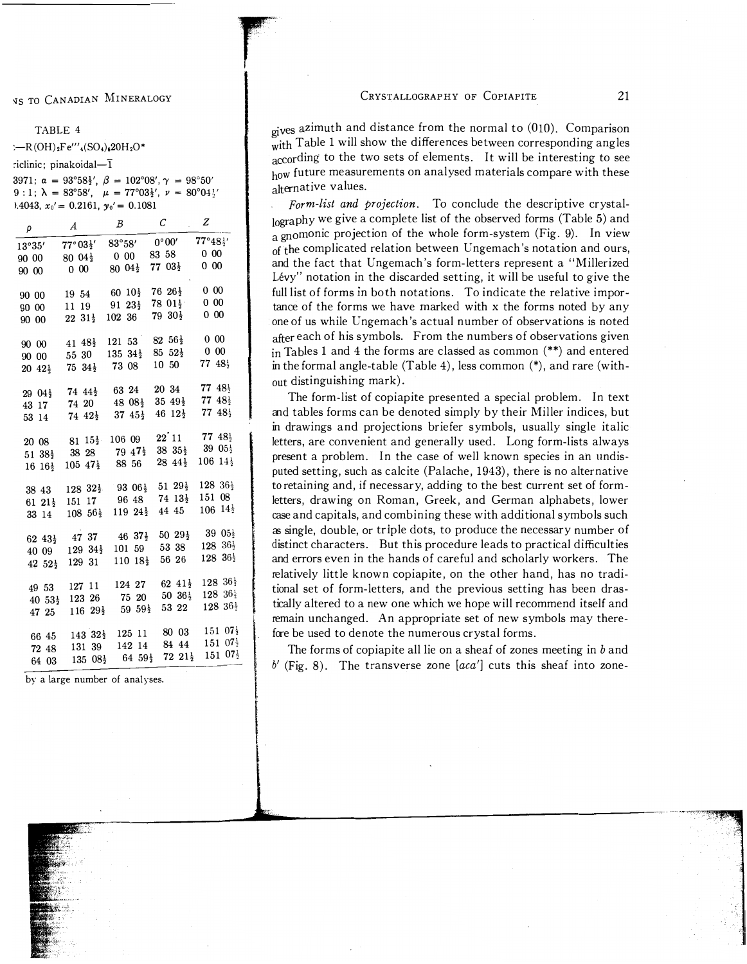### NS TO CANADIAN MINERALOGY

#### TABLE 4

 $\div R(OH)_{2}Fe'''_{4}(SO_{4})_{6}20H_{2}O^{*}$ 

:iclinic; pinakoidal- $\bar{1}$ 

3971;  $\alpha = 93^{\circ}58\frac{1}{2}$ ',  $\beta = 102^{\circ}08'$ ,  $\gamma = 98^{\circ}50'$ 9:1;  $\lambda = 83^{\circ}58'$ ,  $\mu = 77^{\circ}03\frac{1}{2}$ ,  $\nu = 80^{\circ}04\frac{1}{2}$  $0.4043$ ,  $x_0' = 0.2161$ ,  $y_0' = 0.1081$ 

| ρ                     | $\boldsymbol{A}$                                                          | В                          | С                                                                                                                                             | z                            |
|-----------------------|---------------------------------------------------------------------------|----------------------------|-----------------------------------------------------------------------------------------------------------------------------------------------|------------------------------|
|                       | $13^{\circ}35'$ $77^{\circ}03\frac{1}{2}'$ $83^{\circ}58'$ $0^{\circ}00'$ |                            |                                                                                                                                               | $77^{\circ}48^{\frac{1}{2}}$ |
|                       | $90\ 00$ $80\ 04\frac{1}{2}$ $0\ 00$ $83\ 58$                             |                            |                                                                                                                                               | $0\,00$                      |
| 90 00                 | $0\,00$                                                                   | $80\;04\frac{1}{2}$        | $77\;03\frac{1}{2}$                                                                                                                           | $0\,00$                      |
|                       |                                                                           |                            |                                                                                                                                               |                              |
| 90 00                 |                                                                           |                            | $19\ 54$ 60 $10\frac{1}{2}$ 76 $26\frac{1}{2}$ 0 00                                                                                           |                              |
| $90\,00$              |                                                                           |                            | 11 19 91 $23\frac{1}{2}$ 78 $01\frac{1}{2}$                                                                                                   | $0\ \ 00$                    |
| 90 00                 | $22\;31\frac{1}{2}$                                                       | 102 36                     | $79\ 30\frac{1}{2}$                                                                                                                           | $0\,00$                      |
|                       |                                                                           |                            |                                                                                                                                               |                              |
|                       |                                                                           |                            | 90 00 $41 \t48\frac{1}{2}$ 121 53 82 56 $\frac{1}{2}$                                                                                         | $0\,00$                      |
| 90 00                 | 55 30                                                                     |                            | 135 $34\frac{1}{2}$ 85 $52\frac{1}{2}$ 0 00                                                                                                   |                              |
|                       | $20\;\,42\frac{1}{2}$ 75 $34\frac{1}{2}$ 73 08                            |                            | 10 50                                                                                                                                         | 77 $48\frac{1}{2}$           |
|                       |                                                                           |                            |                                                                                                                                               |                              |
|                       |                                                                           |                            | $29\ 04\frac{1}{2}$ 74 $44\frac{1}{2}$ 63 24 20 34 77 $48\frac{1}{2}$                                                                         |                              |
| 43 17                 |                                                                           |                            | 74 20 48 $08\frac{1}{2}$ 35 $49\frac{1}{2}$ 77 $48\frac{1}{2}$<br>74 $42\frac{1}{2}$ 37 $45\frac{1}{2}$ 46 $12\frac{1}{2}$ 77 $48\frac{1}{2}$ |                              |
| 53 14                 |                                                                           |                            |                                                                                                                                               |                              |
|                       |                                                                           |                            | 20 08 81 $15\frac{1}{2}$ 106 09 22 11 77 $48\frac{1}{2}$                                                                                      |                              |
|                       |                                                                           |                            | $51\ 38\frac{1}{2}$ 38 28 79 $47\frac{1}{2}$ 38 $35\frac{1}{2}$ 39 $05\frac{1}{2}$                                                            |                              |
|                       |                                                                           | $105\;47\frac{1}{2}$ 88 56 | $28\;44\frac{1}{2}$                                                                                                                           | $106\;14\frac{1}{2}$         |
| $16 \; 16\frac{1}{2}$ |                                                                           |                            |                                                                                                                                               |                              |
| 38 43                 |                                                                           |                            | $128$ $32\frac{1}{2}$ $93$ $06\frac{1}{2}$ $51$ $29\frac{1}{2}$ $128$ $36\frac{1}{2}$                                                         |                              |
|                       |                                                                           |                            | 61 21 <sup>1</sup> / <sub>2</sub> 151 17 96 48 74 13 <sup>1</sup> / <sub>2</sub>                                                              | 151 08                       |
|                       |                                                                           |                            | $33\ 14$ $108\ 56\frac{1}{2}$ $119\ 24\frac{1}{2}$ 44 45                                                                                      | $106 \t14^{\frac{1}{2}}$     |
|                       |                                                                           |                            |                                                                                                                                               |                              |
|                       |                                                                           |                            | 62 43 <sup>1</sup> / <sub>2</sub> 47 37 46 37 <sup>1</sup> / <sub>2</sub> 50 29 <sup>1</sup> / <sub>2</sub> 39 05 <sup>1</sup> / <sub>2</sub> |                              |
|                       | $40\ \ 09\ \ 129\ \ 34\frac{1}{2}$                                        |                            | $101\ \ 59\ \ 53\ \ 38$                                                                                                                       | $128 \ \ 36\frac{1}{2}$      |
|                       | $42\;\,52\frac{1}{2}\;\;129\;\,31$                                        |                            | $110 \t18\frac{1}{2} \t56 \t26$                                                                                                               | $128\ \,36\frac{1}{2}$       |
|                       |                                                                           |                            |                                                                                                                                               | 128 36}                      |
| 49 53                 | 127 11                                                                    |                            | $124\ 27\ 62\ 41\frac{1}{2}$                                                                                                                  | $128\ \,36\frac{1}{2}$       |
| $40.53\frac{1}{2}$    |                                                                           |                            |                                                                                                                                               |                              |
| 47 25                 |                                                                           |                            |                                                                                                                                               | $128\,36\frac{1}{2}$         |
|                       |                                                                           |                            | $143 \t32\frac{1}{2}$ 125 11 80 03 151 07 <sup>1</sup> / <sub>2</sub>                                                                         |                              |
| 66 45                 |                                                                           |                            | 142 14 84 44 151 07 <sup>1</sup>                                                                                                              |                              |
| 72 48                 | 131 39                                                                    |                            | $135\ \ 08\frac{1}{2}$ 64 $59\frac{1}{2}$ 72 $21\frac{1}{2}$ 151 $07\frac{1}{2}$                                                              |                              |
| 64 03                 |                                                                           |                            |                                                                                                                                               |                              |

by a large number of analyses.

gives azimuth and distance from the normal to (010). Comparison with Table 1 will show the differences between corresponding angles according to the two sets of elements. It will be interesting to see how future measurements on analysed materials compare with these alternative values.

Form-list and projection. To conclude the descriptive crystallography we give a complete list of the observed forms (Table 5) and a gnomonic projection of the whole form-system (Fig. 9). In view of the complicated relation between Ungemach's notation and ours, and the fact that Ungemach's form-letters represent a "Millerized Lévy" notation in the discarded setting, it will be useful to give the full list of forms in both notations. To indicate the relative importance of the forms we have marked with x the forms noted by any one of us while Ungemach's actual number of observations is noted after each of his symbols. From the numbers of observations given in Tables 1 and 4 the forms are classed as common  $(**)$  and entered in the formal angle-table  $(Table 4)$ , less common  $(*)$ , and rare (without distinguishing mark).

The form-list of copiapite presented a special problem. In text and tables forms can be denoted simply by their Miller indices, but in drawings and projections briefer symbols, usually single italic letters, are convenient and generally used. Long form-lists always present a problem. In the case of well known species in an undisputed setting, such as calcite (Palache, 1943), there is no alternative to retaining and, if necessary, adding to the best current set of formletters, drawing on Roman, Greek, and German alphabets, lower case and capitals, and combining these with additional symbols such as single, double, or triple dots, to produce the necessary number of distinct characters. But this procedure leads to practical difficulties and errors even in the hands of careful and scholarly workers. The relatively little known copiapite, on the other hand, has no traditional set of form-letters, and the previous setting has been drastically altered to a new one which we hope will recommend itself and remain unchanged. An appropriate set of new symbols may therefore be used to denote the numerous crystal forms.

The forms of copiapite all lie on a sheaf of zones meeting in  $b$  and  $b'$  (Fig. 8). The transverse zone [aca'] cuts this sheaf into zone-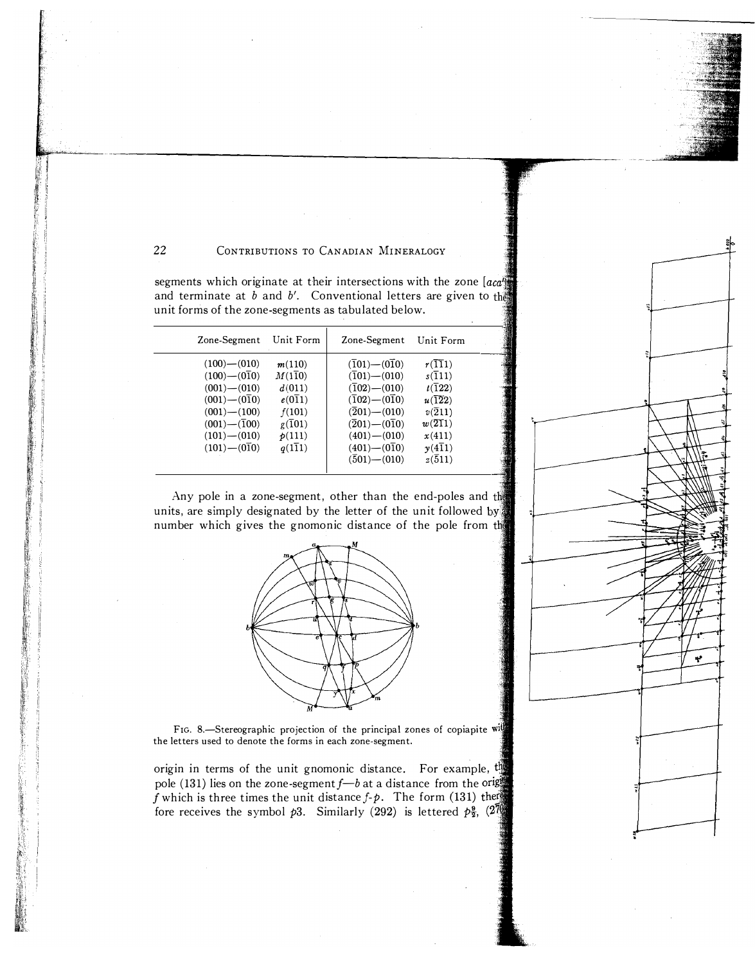segments which originate at their intersections with the zone  $[aca]$ and terminate at  $b$  and  $b'$ . Conventional letters are given to the unit forms of the zone-segments as tabulated below.

| Zone-Segment                                                                                                                                                                 | Unit Form                                                                                                                   | Zone-Segment Unit Form                                                                                                                                                                                                                                    |                                                                                                                                                                      |  |
|------------------------------------------------------------------------------------------------------------------------------------------------------------------------------|-----------------------------------------------------------------------------------------------------------------------------|-----------------------------------------------------------------------------------------------------------------------------------------------------------------------------------------------------------------------------------------------------------|----------------------------------------------------------------------------------------------------------------------------------------------------------------------|--|
| $(100)$ $-(010)$<br>$(100)$ — $(0\bar{1}0)$<br>$(001) - (010)$<br>$(001)$ — $(010)$<br>$(001) - (100)$<br>$(001)$ — $(\overline{1}00)$<br>$(101) - (010)$<br>$(101) - (010)$ | m(110)<br>$M(1\overline{1}0)$<br>d(011)<br>$e(0\overline{1}1)$<br>f(101)<br>$g(\overline{1}01)$<br>p(111)<br>$q(1\bar{1}1)$ | $(\overline{1}01) - (0\overline{1}0)$<br>$(\overline{1}01)$ $ (010)$<br>$(\overline{1}02)$ $ (010)$<br>$(\overline{1}02) - (0\overline{1}0)$<br>$(\overline{2}01)$ $ (010)$<br>$(201) - (010)$<br>$(401) - (010)$<br>$(401)$ $-(010)$<br>$(501)$ $ (010)$ | r(111)<br>$s(\overline{1}11)$<br>$t(\overline{1}22)$<br>u(122)<br>$v(\overline{2}11)$<br>$w(\overline{21}1)$<br>x(411)<br>$v(4\overline{1}1)$<br>$z(\overline{5}11)$ |  |

Any pole in a zone-segment, other than the end-poles and the units, are simply designated by the letter of the unit followed by number which gives the gnomonic distance of the pole from the



FIG. 8.-Stereographic projection of the principal zones of copiapite will the letters used to denote the forms in each zone-segment.

origin in terms of the unit gnomonic distance. For example,  $t_{\text{max}}$ pole (131) lies on the zone-segment  $f$ — $b$  at a distance from the oright f which is three times the unit distance f-p. The form (131) then fore receives the symbol  $p3$ . Similarly (292) is lettered  $p_{3}^{9}$ ,  $\left(27\right)$ 

Ÿ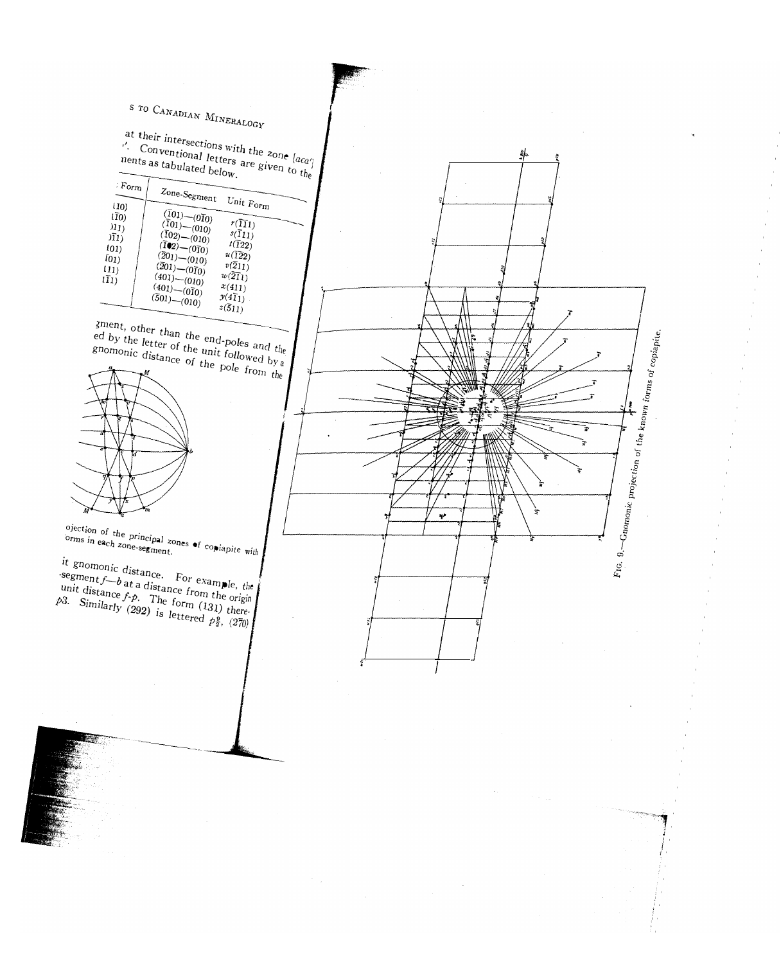# s to CANADIAN MINERALOGY at their intersections with the zone  $[a_{ca'}]$ . Conventional letters are given to the neutron of the sone  $[a_{ca'}]$ <br>ments as tabulated below. 訃 ; Form Form  $Z_{one-Segment}$  Unit Form<br>(10)  $\overline{(101)-(010)}$ ---  $(10)$  $\overbrace{(\overline{1}01) - (\overline{0}\overline{1}0)}^{(\overline{1}01) - (\overline{0}\overline{1}0)}$   $\overbrace{(\overline{1}11) \ (\overline{1}02) - (\overline{0}10)}^{(\overline{1}01) - (\overline{0}\overline{1}0)}$  $\begin{array}{c|c} T(10) & (101) & (111) \\ \hline T(11) & (102) & (101) & (111) \\ \hline T(11) & (102) & (101) & t(122) \\ \end{array}$  $\overline{r(11)}$  $\begin{array}{c} (11) \\ (\bar{1}0) \\ (01) \\ (01) \\ (01) \end{array}$   $\begin{array}{c} (\bar{1}02) \\ (\bar{1}02) \\ (\bar{1}02) \\ (\bar{2}01) \\ (010) \\ (011) \\ (011) \\ (010) \\ (011) \\ (010) \\ (011) \\ (010) \\ (011) \\ (012) \\ (012) \\ (013) \\ (013) \\ (014) \\ (015) \\ (016) \\ (019) \\ (010) \\ (010) \\ (011) \\ (010) \\ (011) \\ (01$ (101)<br>
(11) (102) (010)  $u(122)$ <br>
(11) (201) (010)  $u(122)$ <br>
(201) (010)  $u(122)$ <br>
(201) (010)  $v(211)$ 101) (201)\_(010) v(211)  $\begin{array}{c|cc} (01) & (201) - (010) & u(122) \ \hline (11) & (\bar{2}01) - (0\bar{1}0) & v(\bar{2}11) \ \bar{1}1 & (401) - (010) & w(\bar{2}\bar{1}) \end{array}$  $\begin{array}{c}\n\text{(11)} \\
\text{(11)} \\
\text{(12)} \\
\text{(13)} \\
\text{(14)} \\
\text{(14)} \\
\text{(15)} \\
\text{(16)} \\
\text{(17)} \\
\text{(18)} \\
\text{(19)} \\
\text{(19)} \\
\text{(10)} \\
\text{(10)} \\
\text{(10)} \\
\text{(10)} \\
\text{(11)} \\
\text{(11)}\n\end{array}$ Ill) (401)\_(010) Y(4Il) (501)\_(010) Z(511) sment, other than the end-poles and the ed by the letter of the unit followed by  $\frac{1}{4}$ . Fig. 9. - Gnomonic projection of the known forms of copiapite. gnomonic distance of the pole from the Þ ţ ÷  $\tilde{\mathbf{r}}$ ojection of the principal zones of copiapite with<br>orms in each zone-segment. t gnomonic distance. For example, the  $\epsilon$ segment $f$  -b at a distance from the origin unit distance  $f \cdot p$ . The form (131) there. 3. Similarly (292) is lettered  $p_{\overline{2}}^6$ , (270)

!<br>!  $\mathfrak{f}$  ,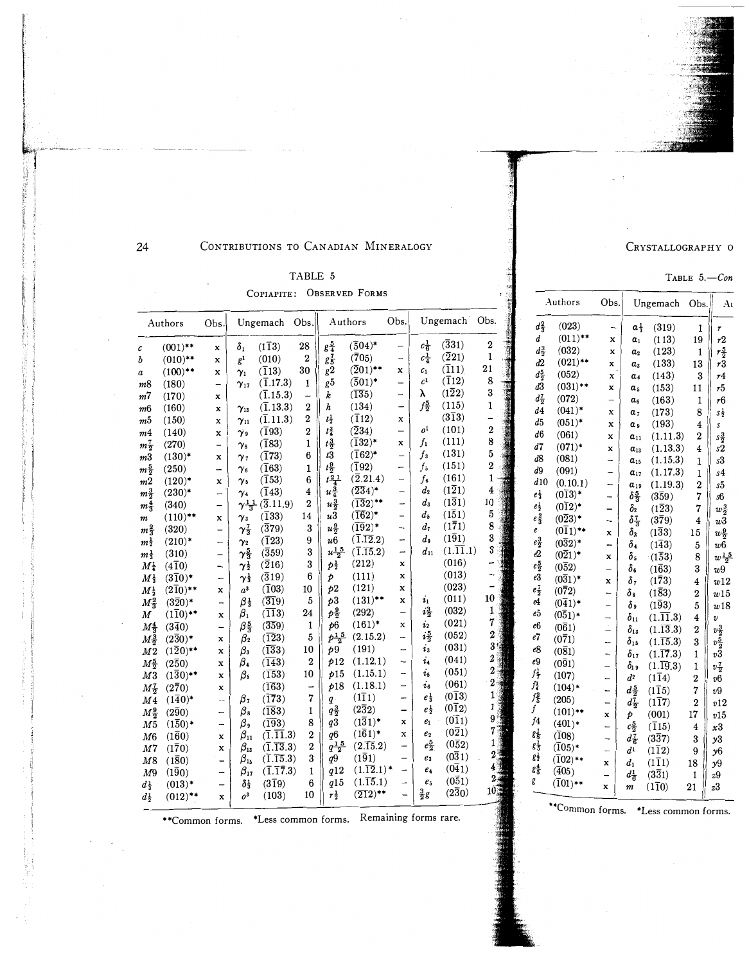CRYSTALLOGRAPHY O

Ungemach Obs.

 $\alpha_{3}^{1}$  (319)

 $a_1$ 

 $\alpha_3$ 

 $\alpha_4$ 

 $\alpha_6$ 

 $a<sub>9</sub>$ 

 $\pmb{a}_{11}$ 

 $\alpha_{13}$ 

 $\alpha_{15}$ 

 $\alpha_{19}$ 

 $\delta \frac{5}{3}$ 

 $\frac{\delta_2}{\delta \frac{7}{3}}$ 

 $\delta_4$ 

 $\delta_{\mathfrak{s}}$ 

 $\delta_{6}$ 

 $\delta_7$ 

 $\delta$  9

 $\delta_{15}$ 

 $\delta_{19}$ 

 $\rlap/v$ 

 $c\frac{5}{2}$ 

 $d_{\overline{6}}^7$ 

 $d^1$  $\overline{a}$ 

 $d_1$ 

 $d^1_6$ 

 $(113)$ 

 $(123)$ 

 $(133)$ 

 $(143)$ 

 $(153)$ 

 $(163)$ 

 $(173)$ 

 $(193)$ 

 $(1.11.3)$ 

 $(1.13.3)$ 

 $(1.15.3)$ 

 $(1.19.3)$ 

 $(3\bar{5}9)$ 

 $(1\overline{2}3)$ 

 $(3\bar{7}9)$ 

 $(1\bar{3}3)$ 

 $(1\bar{4}3)$ 

 $(1\bar{5}3)$ 

 $(1\bar{6}3)$ 

 $(1\bar{7}3)$ 

 $(1\bar{8}3)$ 

 $(193)$ 

 $(1.\overline{15}.3)$ 

 $(1,\overline{19}.3)$ 

 $(1\overline{1}4)$ 

 $(1\bar{1}5)$ 

 $(117)$ 

 $(001)$ 

 $(\bar{1}15)$ 

 $(3\bar{3}7)$ 

 $(1\overline{1}2)$ 

 $(1\overline{1}1)$ 

 $(3\overline{3}1)$ 

 $(110)$ 

 $\delta_{11}$  (1.11.3)

 $\delta_{13}$  (1.13.3)

 $\delta_{17}$  (1.17.3)

 $a_{17}$  (1.17.3)

Obs.

 $\overline{\phantom{a}}$ 

 $\mathbf x$ 

 $\mathbf x$  $a<sub>2</sub>$ 

 $\mathbf x$ 

 $\mathbf x$ 

 $\mathbf x$  $\alpha_{\textit{s}}$ 

 $\overline{\phantom{0}}$ 

 $\mathbf x$  $a<sub>7</sub>$ 

 $\mathbf x$ 

 $\mathbf x$ 

 $\mathbf x$ 

 $\overline{\phantom{0}}$ 

 $\overline{\phantom{a}}$ 

 $\overline{\phantom{a}}$ 

 $\overline{\phantom{a}}$ 

 $\overline{a}$ 

 $\boldsymbol{\mathrm{x}}$  $\delta_3$ 

 $\frac{1}{2}$ 

 $\pmb{\mathsf{x}}$ 

 $\overline{a}$ 

 $\mathbf x$ 

 $\overline{a}$  $\delta_8$ 

 $\overline{\phantom{a}}$ 

 $\overline{\phantom{0}}$ 

 $\stackrel{.}{-}$ 

 $\overline{a}$ 

 $\overline{\phantom{0}}$ 

 $\qquad \qquad -$ 

 $\frac{1}{2}$  $d^2$ 

 $\overline{\phantom{0}}$  $d_{\frac{5}{2}}$ 

 $\frac{1}{2}$  $d_{\overline{2}}^{\overline{7}}$ 

 $\mathbf x$ 

 $\frac{1}{2}$ 

 $\overline{a}$ 

 $\mathbf x$ 

 $\overline{a}$ 

 $\mathbf x$  $\boldsymbol{m}$  TABLE  $5. - Con$ 

 $\,1\,$  $\boldsymbol{r}$ 

 $19\,$  $\sqrt{r}$ 

 $\mathbf{1}$  $r\frac{5}{2}$ 

13  $r3$ 

> $\bf{3}$  $\emph{r}4$

 $11\,$  $\sqrt{5}$ 

 $\mathbf{1}$ 

 $\bf 8$ 

 $\overline{4}$ 

 $\boldsymbol{2}$  $s\frac{3}{2}$ 

 $\overline{\mathbf{4}}$ 

 $\mathbf{1}$ 

 $\mathbf{1}$  $s<sub>4</sub>$ 

 $\boldsymbol{2}$  $s5$ 

 $\overline{7}$  $s6$ 

 $\overline{4}$  $w\overline{3}$ 

15

 $\bf 5$  $w6$ 

 $\bf 8$ 

 $\bf{3}$ 

 $\overline{4}$ 

 $\,2\,$  $w15$ 

 $5\phantom{.0}$  $w18$ 

 $\overline{\mathbf{4}}$  $\pmb{\upsilon}$ 

 $\bf 2$  $v_2^3$ 

 $\bf{3}$  $v_2^{\bar{5}}$ 

 $\,1$  $\it v3$ 

 $\mathbf 1$  $v\frac{7}{2}$ 

 $\,2$  $v6$ 

 $\bf 7$  $v\boldsymbol{9}$ 

 $\overline{2}$ 

 $17$ 

 $\overline{4}$  $x3$ 

 $\bf{3}$  $y\mathbf{3}$ 

9  $y6$ 

 $18\,$  $y9$ 

 $\mathbf 1$ 

 $v12$ 

 $v15$ 

29

 $\rm{z}3$ 

 $\sqrt{6}$ 

 $S\frac{1}{2}$ 

s

 $\sqrt{s}2$ 

 $\sqrt{s}$ 

 $w_2^3$  $\overline{7}$ 

 $w\frac{9}{2}$ 

 $w\frac{15}{2}$ 

 $w\mathbf{9}$ 

 $w12$ 

 $At$ 

#### 24

 $\epsilon$ 

 $\boldsymbol{h}$ 

#### CONTRIBUTIONS TO CANADIAN MINERALOGY

#### TABLE 5

COPIAPITE: OBSERVED FORMS

| ັບມີມະນະນະ 1                    |                         |                          |                                   |                                             |                          |                       |                                  |                          |                                  |                                          |                  |   | Authors                           |                              |  |
|---------------------------------|-------------------------|--------------------------|-----------------------------------|---------------------------------------------|--------------------------|-----------------------|----------------------------------|--------------------------|----------------------------------|------------------------------------------|------------------|---|-----------------------------------|------------------------------|--|
| Authors                         |                         | Obs.                     | Ungemach                          |                                             | Obs.                     |                       | Authors                          | Obs.                     | Ungemach                         |                                          | Obs.             |   | $d_{\frac{2}{3}}^2$               | (023)                        |  |
|                                 | $(001)$ **              | x                        | $\delta_1$                        | $(1\overline{1}3)$                          | 28                       | $g\frac{5}{4}$        | $(\overline{5}04)^*$             | $\overline{\phantom{0}}$ | $c_{\overline{6}}^1$             | (331)                                    | $\boldsymbol{2}$ |   | d                                 | $(011)$ **                   |  |
|                                 | $(010)$ **              | $\mathbf x$              | g <sup>1</sup>                    | (010)                                       | $\boldsymbol{2}$         | $g_{\overline{5}}^7$  | (705)                            | -                        | $c_{4}^{1}$                      | $(\overline{2}21)$                       | $\mathbf{1}$     |   | $d_{\frac{5}{2}}^3$               | (032)                        |  |
|                                 | $(100)$ **              | x                        | $\gamma_1$                        | $(\overline{1}13)$                          | 30                       | g2                    | $(\overline{2}01)^{**}$          | x                        | $\mathcal{C}_1$                  | $(\overline{1}11)$                       | 21               |   | d2                                | $(021)$ **                   |  |
| n8                              | (180)                   | $\overline{\phantom{0}}$ | $\gamma_{17}$                     | $(\overline{1}.17.3)$                       | 1                        | g <sub>5</sub>        | $(501)^*$                        | $\qquad \qquad -$        | c <sup>1</sup>                   | $(\bar{1}12)$                            | 8                | 涮 | $d_{\frac{5}{2}}$                 | (052)                        |  |
| n7                              | (170)                   | x                        |                                   | $(\overline{1}.15.3)$                       | -                        | k                     | $(\overline{135})$               | $\overline{\phantom{0}}$ | λ                                | $(1\overline{2}2)$                       | 3                |   | d3                                | $(031)$ **                   |  |
| n6                              | (160)                   | $\bf x$                  | $\gamma_{13}$                     | $(\overline{1}, 13.3)$                      | $\boldsymbol{2}$         | h                     | (134)                            | -                        | $f_2^5$                          | (115)                                    | $\mathbf 1$      |   | $d_{\overline{2}}^7$              | (072)                        |  |
| n5                              | (150)                   | x                        | $\gamma_{11}$                     | $(\overline{1}.11.3)$                       | $\overline{2}$           | $t^1_{\overline{2}}$  | $(\overline{1}12)$               | x                        |                                  | $(3\bar{1}3)$                            |                  |   | d4                                | $(041)^*$                    |  |
| n4                              | (140)                   | $\mathbf x$              | $\gamma$ 9                        | $(\bar{1}93)$                               | $\boldsymbol{2}$         | $t^3_1$               | $(\overline{2}34)$               | $\overline{\phantom{0}}$ | o <sup>1</sup>                   | (101)                                    | $\overline{2}$   |   | d5                                | $(051)^*$                    |  |
| $n\frac{7}{2}$                  | (270)                   | -                        | $\gamma_{8}$                      | $(\bar{1}83)$                               | 1                        | $t\frac{3}{2}$        | $(\bar{1}32)^*$                  | $\mathbf x$              | $f_{1}$                          | (111)                                    | 8                |   | d6                                | (061)                        |  |
| п3                              | $(130)^*$               | X                        | $\gamma_{7}$                      | $(\bar{1}73)$                               | 6                        | t3                    | $(\bar{1}62)^*$                  | $\overline{\phantom{0}}$ | $f_3$                            | (131)                                    | 5                |   | d7<br>d8                          | $(071)*$                     |  |
| $n\frac{5}{2}$                  | (250)                   | -                        | $\gamma_{6}$                      | $(\overline{1}63)$                          | 1                        | $t\frac{9}{2}$        | $(\bar{1}92)$                    | $\overline{\phantom{0}}$ | $f_5$                            | (151)                                    | $\boldsymbol{2}$ |   |                                   | (081)                        |  |
| m2                              | $(120)^*$               | x                        | $\gamma$ s                        | $(\bar{1}53)$                               | 6                        | $t\frac{21}{4}$       | $(\overline{2}.21.4)$            | $\overline{\phantom{0}}$ | $f_{\rm 6}$                      | (161)                                    | 1                |   | d9                                | (091)                        |  |
| $m_{\overline{2}}^3$            | $(230)^*$               | $\overline{\phantom{0}}$ | $\gamma_4$                        | $(\bar{1}43)$                               | 4                        | $u_{\frac{3}{4}}$     | $(\overline{23}4)^*$             | $\overline{\phantom{0}}$ | $d_2$                            | $(1\overline{2}1)$                       | 4                |   | d10                               | (0.10.1)                     |  |
|                                 | (340)                   | -                        |                                   | $\gamma \frac{11}{3}$ (3.11.9)              | $\boldsymbol{2}$         | $u\frac{3}{2}$        | $(\overline{13}2)^{**}$          | $\overline{\phantom{0}}$ | $d_3$                            | $(1\bar{3}1)$                            | 10               |   | $e^{\frac{1}{3}}$                 | $(013)^*$                    |  |
| $m_{\mathbf{3}}^{\mathbf{4}}$   | $(110)$ **              | x                        | $\gamma_3$                        | $(\bar{1}33)$                               | 14                       | u3                    | $(\overline{16}2)^*$             | $\overline{\phantom{0}}$ | $d_{5}$                          | $(1\bar{5}1)$                            | $\bf 5$          |   | $e^1_{\frac{1}{2}}$               | $(012)^*$                    |  |
| m                               | (320)                   | $\qquad \qquad -$        | $\gamma_{3}^{7}$                  | $(\overline{3}79)$                          | 3                        | $u\frac{9}{2}$        | $(\overline{1}\overline{9}2)^*$  | $\overline{\phantom{0}}$ | $d_{\tau}$                       | $(1\bar{7}1)$                            | 8                |   | $e_{\overline{3}}^2$              | $(0\overline{2}3)^*$         |  |
| $m\frac{2}{3}$                  | $(210)^*$               | $\overline{\phantom{0}}$ |                                   | $(\bar{1}23)$                               | 9                        | u <sub>6</sub>        | $(\overline{1}.\overline{12}.2)$ | $\overline{\phantom{0}}$ | d,                               | $(1\bar{9}1)$                            | 3                |   | e                                 | $(011)$ **                   |  |
| $m\frac{1}{2}$                  |                         |                          | $\gamma_2$<br>$\gamma_{3}^{5}$    | (359)                                       | 3                        | $u\frac{1}{2}5$       | $(\overline{1}.\overline{15}.2)$ | $\overline{\phantom{0}}$ | $\boldsymbol{d}_{11}$            | $(1.\overline{11}.1)$                    | 3                |   | $e^3_{\overline{2}}$              | $(032)^*$                    |  |
| $m\frac{1}{3}$                  | (310)                   | $\overline{\phantom{a}}$ |                                   | $(\overline{2}16)$                          | 3                        | $p^1$ <sub>2</sub>    | (212)                            | $\bf x$                  |                                  | (016)                                    |                  |   | e2                                | $(0\overline{2}1)^*$         |  |
| Μł                              | $(4\overline{1}0)$      | -                        | $\boldsymbol{\gamma}^1_{\bar{2}}$ | (319)                                       | $6\phantom{1}6$          |                       | (111)                            | $\mathbf x$              |                                  | (013)                                    |                  |   | $e\frac{5}{2}$                    | $(0\bar{5}2)$                |  |
| $M\frac{1}{3}$                  | $(3\bar{1}0)^*$         | -                        | $\gamma \frac{1}{3}$              |                                             | 10                       | Þ                     | (121)                            | $\bf x$                  |                                  | (023)                                    |                  |   | e3                                | $(031)^*$                    |  |
| $M_{\frac{1}{2}}$               | $(210)**$               | $\mathbf x$              | $a^3$                             | $(\overline{1}03)$                          | 5                        | p2<br>b3              | $(131)$ **                       | $\mathbf x$              |                                  | (011)                                    | 10               |   | $e_{\overline{2}}^{\overline{1}}$ | $(0\bar{7}2)$                |  |
| $M_3^2$                         | $(3\bar{2}0)^*$         | -                        | $\beta_{3}^{1}$                   | $(\overline{31}9)$                          |                          |                       | (292)                            | —                        | $\mathbf{v}_1$<br>$i\frac{3}{2}$ | (032)                                    | 1                |   | e4                                | $(041)$ *                    |  |
| M                               | $(110)$ **              | x                        | $\beta_1$                         | $(\overline{11}3)$                          | 24                       | $p_{\frac{9}{2}}^{9}$ | $(161)^*$                        | x                        | $\dot{\imath}_2$                 | (021)                                    | 7                |   | e5                                | $(0\overline{5}1)$ *         |  |
| $M_{\overline{3}}^4$            | $(3\bar{4}0)$           | $\overline{\phantom{0}}$ | $\beta_{\frac{5}{3}}$             | (359)                                       | 1                        | b6                    | (2.15.2)                         |                          | $i\frac{5}{2}$                   | (052)                                    | $\overline{2}$   |   | e6                                | $(0\overline{6}1)$           |  |
| $M_{\tilde{\sigma}}^3$          | $(2\overline{3}0)^*$    | X                        | $\beta_2$                         | $(\overline{123})$                          | $\overline{5}$           | $p\frac{15}{2}$       |                                  | ⊷                        |                                  | (031)                                    | 3 <sup>1</sup>   |   | e7                                | $(0\bar{7}1)$                |  |
| M2                              | $(1\overline{2}0)^{**}$ | $\mathbf x$              | $\beta_3$                         | $(\overline{13}3)$                          | 10                       | p9                    | (191)                            |                          | $\overline{\mathbf{z}}_3$        | (041)                                    | $\boldsymbol{2}$ |   | e8                                | $(0\bar{8}1)$                |  |
| $M_{\frac{5}{2}}$               | $(2\bar{5}0)$           | X                        | $\beta_4$                         | (143)                                       | $\boldsymbol{2}$         | p12                   | (1.12.1)                         | -                        | i <sub>4</sub>                   | (051)                                    | $\overline{2}$   |   | e9                                | (091)                        |  |
| M3                              | $(1\overline{3}0)$ **   | $\mathbf x$              | $\beta_{5}$                       | (153)                                       | 10                       | p15                   | (1.15.1)                         | -                        | $i_{5}$                          | (061)                                    | $\overline{2}$   |   | $f^1_{\overline{t}}$              | (107)                        |  |
| $M_{\overline{2}}^7$            | $(2\bar{7}0)$           | x                        |                                   | (163)                                       | $\overline{\phantom{0}}$ | p18                   | (1.18.1)                         | $\overline{\phantom{0}}$ | $i_{6}$                          |                                          | $\mathbf{1}$     |   | $f_{\frac{1}{4}}$                 | $(104)*$                     |  |
| M <sub>4</sub>                  | $(140)^*$               |                          | $\beta_7$                         | $(\overline{173})$                          | 7                        | q                     | $(1\overline{1}1)$               |                          | $e\frac{1}{3}$                   | $(0\overline{1}3)$<br>$(0\overline{1}2)$ | 1                |   | $f_{\overline{5}}^2$              | (205)                        |  |
| $M_{\frac{9}{2}}^{\frac{9}{2}}$ | $(2\bar{9}0)$           | -                        | $\beta$                           | (183)                                       | 1                        | $q\frac{3}{2}$        | $(2\bar{3}2)$                    | $\overline{\phantom{0}}$ | $e\frac{1}{2}$                   |                                          | 9                |   | f                                 | $(101)$ **                   |  |
| M <sub>5</sub>                  | $(1\bar{5}0)^*$         | $\overline{\phantom{0}}$ | $\beta$                           | $(\overline{193})$                          | 8                        | q3                    | $(1\overline{3}1)^*$             | x                        | $e_1$                            | $(0\bar{1}1)$                            | 7                |   | f4                                | $(401)*$                     |  |
| M6                              | $(1\bar{6}0)$           | x                        | $\beta_{11}$                      | $(\overline{1}.\overline{11}.3)$            | $\mathbf{2}$             | q <sub>6</sub>        | $(1\bar{6}1)^*$                  | $\mathbf x$              | $\boldsymbol{e}_2$               | $(0\overline{2}1)$                       | 1                |   | $g_{\frac{1}{3}}$                 | (108)                        |  |
| M <sub>7</sub>                  | (170)                   | $\mathbf x$              | $\beta_{13}$                      | $(\overline{1}.\overline{13}.3)$            | $\boldsymbol{2}$         | $q\frac{15}{2}$       | $(2.\overline{15}.2)$            | -                        | $e_{\overline{2}}^5$             | $(0\bar{5}2)$                            |                  |   | $\zeta_5^1$                       | $(\bar{1}05)^*$              |  |
| M8                              | (180)                   |                          | $\beta_{15}$                      | $(\overline{1}.\overline{15}.3)$            | 3                        | q9                    | $(1\bar{9}1)$                    | $\overline{\phantom{0}}$ | $e_3$                            | (031)                                    |                  |   | $g^1_{\bar{2}}$                   | $(\bar{1}02)$ **             |  |
| M9                              | (190)                   | $\qquad \qquad -$        | $\beta_{17}$                      | $(\overline{1}.\overline{1}\overline{7}.3)$ | 1                        | q12                   | $(1.\overline{12}.1)^*$          | -                        | $e_4$                            | $(0\bar{4}1)$                            |                  |   | $g_{\overline{5}}^4$              | $(\overline{4}05)$           |  |
| ďţ                              | $(013)^*$               | $\overline{\phantom{0}}$ | $\delta_{3}^{1}$                  | $(3\bar{1}9)$                               | $6\phantom{1}6$          | q15                   | $(1.\overline{15}.1)$            | $\qquad \qquad -$        | e <sub>5</sub>                   | $(0\bar{5}1)$                            | 10 <sup>3</sup>  |   | g                                 | $(\bar{1}01)$ **             |  |
| $d\frac{1}{2}$                  | $(012)$ **              | $\mathbf x$              | o <sup>3</sup>                    | (103)                                       | 10                       | $r\frac{1}{2}$        | $(\overline{21}2)^{**}$          | $\overline{\phantom{0}}$ | $\frac{3}{2}g$                   | $(2\bar{3}0)$                            |                  |   |                                   |                              |  |
|                                 |                         |                          |                                   |                                             |                          |                       |                                  |                          |                                  |                                          |                  |   |                                   | $*_{\mathsf{C}_{\alpha mn}}$ |  |

\*\* Common forms. \*Less common forms. Remaining forms rare.

Common forms. \*Less common forms.

<sup>21</sup>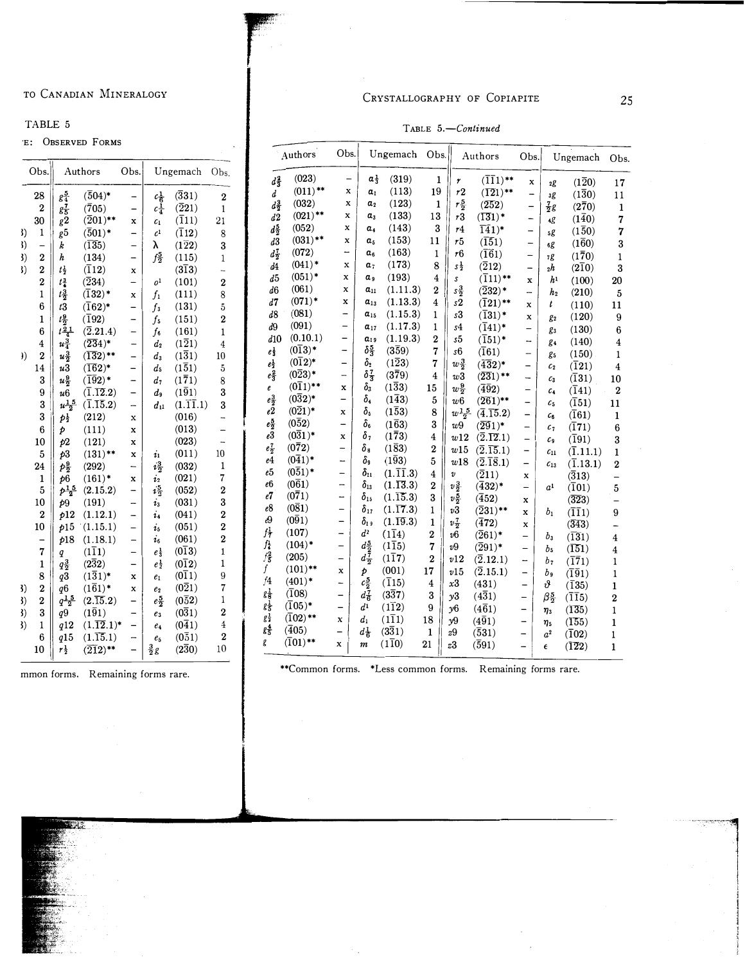#### TABLE 5

 $\begin{array}{ccc} 3) & 1 \\ 3) & - \\ 3) & 2 \\ 3) & 2 \end{array}$ I) - I) 2 I) 2 2 1 6 1 6 4

) ) 2 14 3 9 3 3 6 10 5 24 1 5 10 2 10 - 7 1 8 3) 2 I) 2 I) 3  $\begin{array}{ccc} 3) & 2 \\ 3) & 2 \\ 3) & 3 \\ 3) & 1 \end{array}$ 

'E: OBS

# CRYSTALLOGRAPHY OF COPIAPITE 25

| TABLE 5.-Continued |  |
|--------------------|--|
|                    |  |

|                                  | ERVED FORMS                      |                          |                         |                       |                          |                      |                       | Obs.                         |                           |                       |                         |                |                                             |                          |                            |                               |                         |
|----------------------------------|----------------------------------|--------------------------|-------------------------|-----------------------|--------------------------|----------------------|-----------------------|------------------------------|---------------------------|-----------------------|-------------------------|----------------|---------------------------------------------|--------------------------|----------------------------|-------------------------------|-------------------------|
| Authors<br>Obs.<br>Ungemach Obs. |                                  |                          |                         | Authors               |                          |                      | Ungemach Obs.         |                              |                           | Authors               | Obs.                    |                | Ungemach                                    | Obs.                     |                            |                               |                         |
|                                  |                                  |                          |                         | $d_3^2$               | (023)                    | $\qquad \qquad -$    | $a_{3}^1$             | (319)                        | $\mathbf{1}$              | r                     | $(\overline{11}1)^{**}$ | x              | 2g                                          | $(1\overline{2}0)$       | 17                         |                               |                         |
| $g_4^5$                          | $(\overline{5}04)^*$             | $\overline{\phantom{0}}$ | $c_{\overline{6}}^1$    | (331)                 | $\boldsymbol{2}$         | d                    | $(011)$ **            | x                            | a <sub>1</sub>            | (113)                 | 19                      | r2             | $(\overline{12}1)^{**}$                     | $\overline{\phantom{0}}$ | зg                         | $(1\bar{3}0)$                 | 11                      |
| $g_{\overline{5}}^{\bf 7}$       | (705)                            | -                        | $c_{4}^{\bar{1}}$       | $(\overline{2}21)$    | $\mathbf{1}$             | $d_2^3$              | (032)                 | x                            | a <sub>2</sub>            | (123)                 | 1                       | $r\frac{5}{2}$ | (252)                                       | -                        | $\frac{7}{2}$ g            | $(2\bar{7}0)$                 | $\mathbf{1}$            |
| g2                               | $(\overline{2}01)^{**}$          | $\bf x$                  | $c_1$                   | $(\overline{1}11)$    | 21                       | d2                   | $(021)$ **            | x                            | $a_{3}$                   | (133)                 | 13                      | r3             | $(\overline{131})^*$                        | $\overline{\phantom{0}}$ | 4g                         | (140)                         | 7                       |
| g5                               | $(\overline{5}01)^*$             | -                        | $\mathcal{L}^1$         | $(\overline{1}12)$    | 8                        | $d_2^5$              | (052)                 | x                            | a.                        | (143)                 | 3                       | r4             | $141$ <sup>*</sup>                          | $\qquad \qquad -$        | 5g                         | $(1\bar{5}0)$                 | 7                       |
| k                                | $(\overline{135})$               | $\overline{\phantom{0}}$ | λ                       | $(1\bar{2}2)$         | 3                        | d3                   | $(031)$ **            | x                            | $a_{5}$                   | (153)                 | 11                      | r5             | (151)                                       | $\overline{\phantom{0}}$ | 6g                         | $(1\bar{6}0)$                 | 3                       |
| h                                | (134)                            | $\overline{\phantom{0}}$ | $f_2^5$                 | (115)                 | $\mathbf{1}$             | $d_2^7$              | (072)                 | $\overline{\phantom{0}}$     | $a_{6}$                   | (163)                 | $\mathbf{1}$            | r6             | $(\overline{16}1)$                          | $\overline{\phantom{0}}$ | 7g                         | (170)                         | 1                       |
| $t_{2}^1$                        | $(\overline{1}12)$               | $\mathbf x$              |                         | $(3\overline{1}3)$    | L.                       | d4                   | $(041)^*$             | x                            | a <sub>7</sub>            | (173)                 | 8                       | $s\frac{1}{2}$ | $(\overline{2}12)$                          | $\overline{\phantom{0}}$ | $_{2}h$                    | $(2\overline{1}0)$            | 3                       |
| $t^{\frac{3}{4}}$                | $(\overline{2}34)$               | $\overline{\phantom{0}}$ | $\rho^1$                | (101)                 | $\boldsymbol{2}$         | d5                   | $(051)^*$             | x                            | αg                        | (193)                 | 4                       | s              | $(\overline{1}11)$ **                       | $\mathbf{x}$             | h <sup>1</sup>             | (100)                         | 20                      |
| $t^3_{\overline{2}}$             | $(\overline{1}32)^*$             | $\mathbf{x}$             | $f_1$                   | (111)                 | 8                        | d6                   | (061)                 | x                            | $a_{11}$                  | (1.11.3)              | $\boldsymbol{2}$        | $s\frac{3}{2}$ | $(\overline{2}32)^*$                        | $\overline{\phantom{0}}$ | h <sub>2</sub>             | (210)                         | 5                       |
| t3                               | $(\bar{1}62)^*$                  | $\qquad \qquad -$        | $f_3$                   | (131)                 | $\overline{5}$           | d7                   | $(071)^*$             | $\bf x$                      | $a_{13}$                  | (1.13.3)              | $\overline{4}$          | s2             | $(\overline{1}21)$ **                       | $\mathbf{x}$             | $\boldsymbol{t}$           | (110)                         | 11                      |
| $t\frac{9}{2}$                   | $(\overline{1}92)$               | -                        | $f_{5}$                 | (151)                 | $\bf{2}$                 | d8                   | (081)                 | $\qquad \qquad -$            | $a_{15}$                  | (1.15.3)              | 1                       | s3             | $(\bar{1}31)^*$                             | $\mathbf x$              | g2                         | (120)                         | 9                       |
| $t\frac{\bar{2}\,1}{4}$          | $(\overline{2}.21.4)$            | $\qquad \qquad -$        | $f_{6}$                 | (161)                 | $\mathbf{1}$             | d9                   | (091)                 | $\qquad \qquad -$            | $a_{17}$                  | (1.17.3)              | $\mathbf{1}$            | s4             | $(\bar{1}41)^*$                             | $\qquad \qquad -$        | $g_3$                      | (130)                         | 6                       |
| $u_4^3$                          | $(\overline{234})^*$             | $\overline{\phantom{0}}$ | $d_2$                   | $(1\overline{2}1)$    | $\overline{4}$           | d10                  | (0.10.1)              | $\overline{\phantom{0}}$     | $a_{19}$                  | (1.19.3)              | $\boldsymbol{2}$        | s5             | $(\bar{1}51)^*$                             | -                        | g <sub>4</sub>             | (140)                         | 4                       |
| $u_{\frac{3}{2}}$                | $(\overline{132})$ **            | -                        | $d_3$                   | (131)                 | 10 <sup>°</sup>          | $e_3^1$              | $(013)^*$             | $\qquad \qquad -$            | $\delta_{\overline{3}}^5$ | $(3\bar{5}9)$         | 7                       | s6             | $(\overline{1}61)$                          | $\overline{\phantom{0}}$ | g5                         | (150)                         | 1                       |
| u3                               | $(\overline{16}2)^*$             | -                        | $\mathfrak{a}_5$        | $(1\bar{5}1)$         | $\overline{5}$           | $e_2^1$              | $(012)^*$             | -                            | $\delta_2$                | $(1\bar{2}3)$         | 7                       | $w\frac{3}{2}$ | $(\overline{432})^*$                        | -                        | $\mathcal{C}_2$            | $(\overline{1}21)$            | $\overline{\mathbf{4}}$ |
| $u\frac{9}{2}$                   | $(\bar{1}\bar{9}2)^*$            | $\overline{\phantom{0}}$ | $d_7$                   | $(1\bar{7}1)$         | 8                        | $e_3^2$              | $(0\overline{2}3)^*$  | $\qquad \qquad -$            | $\delta_{\overline{3}}^7$ | $(3\bar{7}9)$         | $\overline{4}$          | w3             | $(\overline{231})$ **                       | $\overline{\phantom{0}}$ | $c_3$                      | $(\overline{1}31)$            | 10                      |
| u6                               | $(\overline{1}.\overline{12}.2)$ | $\overline{\phantom{0}}$ | $d_9$                   | (191)                 | 3                        | e                    | $(011)$ **            | x                            | $\delta_3$                | $(1\bar{3}3)$         | 15                      | $w_2^9$        | $(\bar{4}\bar{9}2)$                         | -                        | c <sub>4</sub>             | $(\overline{1}41)$            | $\mathbf{2}$            |
| $u\frac{1}{2}^{5}$               | $(\overline{1}.\overline{15}.2)$ | -                        | $d_{11}$                | $(1.\overline{11}.1)$ | 3                        | $e_2^3$              | $(032)^*$             | $\overline{\phantom{0}}$     | $\delta_4$                | $(1\bar{4}3)$         | 5                       | w6             | $(\overline{261})$ **                       | $\overline{\phantom{0}}$ | c <sub>5</sub>             | $(\overline{1}51)$            | 11                      |
| $p_{\frac{1}{2}}$                | (212)                            | x                        |                         | (016)                 | $\overline{\phantom{0}}$ | e <sub>2</sub>       | $(0\overline{2}1)^*$  | $\mathbf x$                  | $\delta_{\rm s}$          | $(1\bar{5}3)$         | 8                       | $w^{1.5}_{2}$  | $(\overline{4},\overline{15},2)$            | -                        | $c_{6}$                    | $(\overline{1}61)$            | 1                       |
| Þ                                | (111)                            | $\bf x$                  |                         | (013)                 | $\overline{\phantom{0}}$ | $e_2^5$              | $(0\bar{5}2)$         | $\overline{\phantom{0}}$     | $\delta_6$                | $(1\bar{6}3)$         | 3                       | w9             | $(291)^*$                                   | $\overline{\phantom{a}}$ | c <sub>7</sub>             | $(\overline{1}71)$            | 6                       |
| p2                               | (121)                            | $\bf x$                  |                         | (023)                 | $\overline{\phantom{a}}$ | e3                   | $(031)^*$             | x                            | $\delta_7$                | $(1\bar{7}3)$         | $\overline{4}$          | w12            | $(\overline{2}.\overline{12}.1)$            | $\overline{\phantom{0}}$ | c <sub>9</sub>             | $(\bar{1}91)$                 | 3                       |
| p3                               | $(131)$ **                       | x                        | $\overline{\mathbf{u}}$ | (011)                 | 10                       | $e_2^7$              | $(0\bar{7}2)$         | $\overline{\phantom{0}}$     | $\delta_{\rm s}$          | $(1\bar{8}3)$         | $\mathbf 2$             | w15            | $(\overline{2}.\overline{15}.1)$            | $\overline{\phantom{a}}$ | $c_{11}$                   | $(\overline{1}.11.1)$         | 1                       |
| $p_{\overline{2}}^9$             | (292)                            | -                        | $i\frac{3}{2}$          | (032)                 | $\mathbf 1$              | e4                   | $(041)^*$             | -                            | $\delta_{9}$              | (193)                 | 5                       | w18            | $(\overline{2}.\overline{1}\overline{8}.1)$ | $\qquad \qquad -$        | $c_{13}$                   | $(\overline{1}.13.1)$         | $\mathbf{2}$            |
| p6                               | $(161)^*$                        | x                        | $\dot{i}_2$             | (021)                 | 7                        | e5                   | $(0\overline{5}1)^*$  | $\qquad \qquad -$            | $\delta_{11}$             | $(1.\overline{11}.3)$ | $\overline{\mathbf{4}}$ | $\pmb{v}$      | $(\overline{2}11)$                          | x                        |                            | $\overline{(313)}$            |                         |
| $p_{\frac{15}{2}}$               | (2.15.2)                         | $\qquad \qquad -$        | $i\frac{5}{2}$          | (052)                 | $\boldsymbol{2}$         | e6                   | $(0\overline{6}1)$    | $\overline{\phantom{m}}$     | $\delta_{13}$             | $(1.\overline{13}.3)$ | $\boldsymbol{2}$        | $v\frac{3}{2}$ | $(\bar{4}32)^*$                             | $\overline{\phantom{0}}$ | $a^1$                      | $(\overline{1}01)$            | 5                       |
| Þ9                               | (191)                            | -                        | $\dot{v}_3$             | (031)                 | 3                        | e7                   | $(0\bar{7}1)$         | -                            | $\delta_{15}$             | $(1.\overline{15}.3)$ | 3                       | $v\frac{5}{2}$ | $(\bar{4}52)$                               | $\mathbf{x}$             |                            | (323)                         |                         |
| p12                              | (1.12.1)                         | -                        | i <sub>4</sub>          | (041)                 | $\boldsymbol{2}$         | e8                   | $(0\bar{8}1)$         | $\overline{\phantom{0}}$     | $\delta_{17}$             | (1.17.3)              | $\mathbf 1$             | v3             | $(\overline{2}31)$ **                       | $\mathbf x$              | $b_1$                      | $(\overline{1}\overline{1}1)$ | 9                       |
| p15                              | (1.15.1)                         | $\overline{\phantom{0}}$ | i <sub>5</sub>          | (051)                 | $\boldsymbol{2}$         | г9                   | (091)                 | $\overline{\phantom{0}}$     | $\delta_{19}$             | $(1.\overline{19}.3)$ | $\mathbf{1}$            | $v_2^7$        | $(\overline{4}72)$                          | $\mathbf x$              |                            | (343)                         |                         |
| p18                              | (1.18.1)                         | -                        | $i_{6}$                 | (061)                 | $\bf{2}$                 | $f^1_7$              | (107)                 | -                            | $d^2$                     | $(1\bar{1}4)$         | $\boldsymbol{2}$        | v6             | $(\overline{2}61)^*$                        | $\qquad \qquad -$        | $b_3$                      | (131)                         | 4                       |
| q                                | $(1\overline{1}1)$               | -                        | $e_{\frac{1}{3}}$       | $(0\overline{1}3)$    | 1                        | $f_4^1$              | $(104)^*$             | $\overline{\phantom{0}}$     | $d_{\frac{5}{2}}$         | $(1\overline{1}5)$    | 7                       | v9             | $(\overline{2}91)^*$                        | $\qquad \qquad -$        | bь                         | (151)                         | 4                       |
| $q_{2}^{3}$                      | $(2\bar{3}2)$                    | -                        | $e\frac{1}{2}$          | $(0\bar{1}2)$         | $\mathbf{1}$             | $f_{\overline{5}}^2$ | (205)                 | -                            | $d_{\frac{7}{2}}$         | $(1\overline{1}7)$    | $\boldsymbol{2}$        | v12            | $(\overline{2}.12.1)$                       | $\overline{\phantom{0}}$ | b7                         | $(\overline{1}\overline{7}1)$ | 1                       |
| q3                               | $(1\overline{3}1)^*$             | x                        | $e_1$                   | $(0\overline{1}1)$    | 9                        | f                    | $(101)$ **            | x                            | Þ                         | (001)                 | 17                      | v15            | $(\overline{2}.15.1)$                       | $\overline{\phantom{a}}$ | bg                         | $(\overline{1}\overline{9}1)$ | 1                       |
| д6                               | $(1\bar{6}1)^*$                  | x                        | $e_2$                   | $(0\overline{2}1)$    | 7                        | f4                   | $(401)^*$             | $\overline{\phantom{0}}$     | $c_2^5$                   | $(\overline{1}15)$    | 4                       | x3             | (431)                                       |                          | δ,                         | $(\bar{1}35)$                 | $\mathbf{1}$            |
| $q\frac{15}{2}$                  | $(2.\overline{15}.2)$            | $\overline{\phantom{0}}$ | $e\frac{5}{2}$          | $(0\bar{5}2)$         | $\mathbf{I}$             | $g_{\overline{6}}^1$ | (108)                 | -                            | $d_{\overline{6}}^7$      | $(3\bar{3}7)$         | 3                       | y3             | $(4\overline{3}1)$                          | $\overline{\phantom{a}}$ | $\beta_{\overline{2}}^{5}$ | $(\overline{1}\overline{1}5)$ | $\boldsymbol{2}$        |
| q9                               | (191)                            | -                        | $e_3$                   | (031)                 | $\mathbf 2$              | $g_{\overline{5}}^1$ | $(\bar{1}05)^*$       | -                            | d <sup>1</sup>            | (112)                 | 9                       | $\nu$ 6        | $(4\overline{6}1)$                          | $\overline{\phantom{0}}$ | $\eta_3$                   | (135)                         | 1                       |
| q12                              | $(1.\overline{12}.1)^*$          | -                        | e <sub>4</sub>          | (041)                 | $\overline{4}$           | $g_{\overline{2}}^1$ | $(\overline{1}02)$ ** | x                            | $d_1$                     | $(1\overline{1}1)$    | 18                      | y9             | $(4\bar{9}1)$                               | -                        | $\eta_5$                   | (155)                         | 1                       |
| g15                              | $(1.\overline{15}.1)$            | -                        | e <sub>5</sub>          | $(0\bar{5}1)$         | $\boldsymbol{2}$         | $g_{\overline{5}}^4$ | $(\bar{4}05)$         | $\qquad \qquad \blacksquare$ | $d_{\overline{6}}^1$      | $(3\bar{3}1)$         | $\mathbf{1}$            | 29             | $(\bar{5}31)$                               | $\overline{\phantom{m}}$ | a <sup>2</sup>             | $(\bar{1}02)$                 | 1                       |
| $r\frac{1}{2}$                   | $(\overline{21}2)^{**}$          |                          | $rac{3}{2}$ g           | $(2\bar{3}0)$         | 10                       | g                    | $(\overline{1}01)$ ** | x                            | $\boldsymbol{m}$          | $(1\bar{1}0)$         | 21                      | z3             | (591)                                       | $\overline{\phantom{0}}$ | $\epsilon$                 | (122)                         | $\mathbf{1}$            |
|                                  |                                  |                          |                         |                       |                          |                      |                       |                              |                           |                       |                         |                |                                             |                          |                            |                               |                         |

mmon forms. Remaining forms rare.

6 10

\*\*Common forms. \*Less common forms. Remaining forms rare.